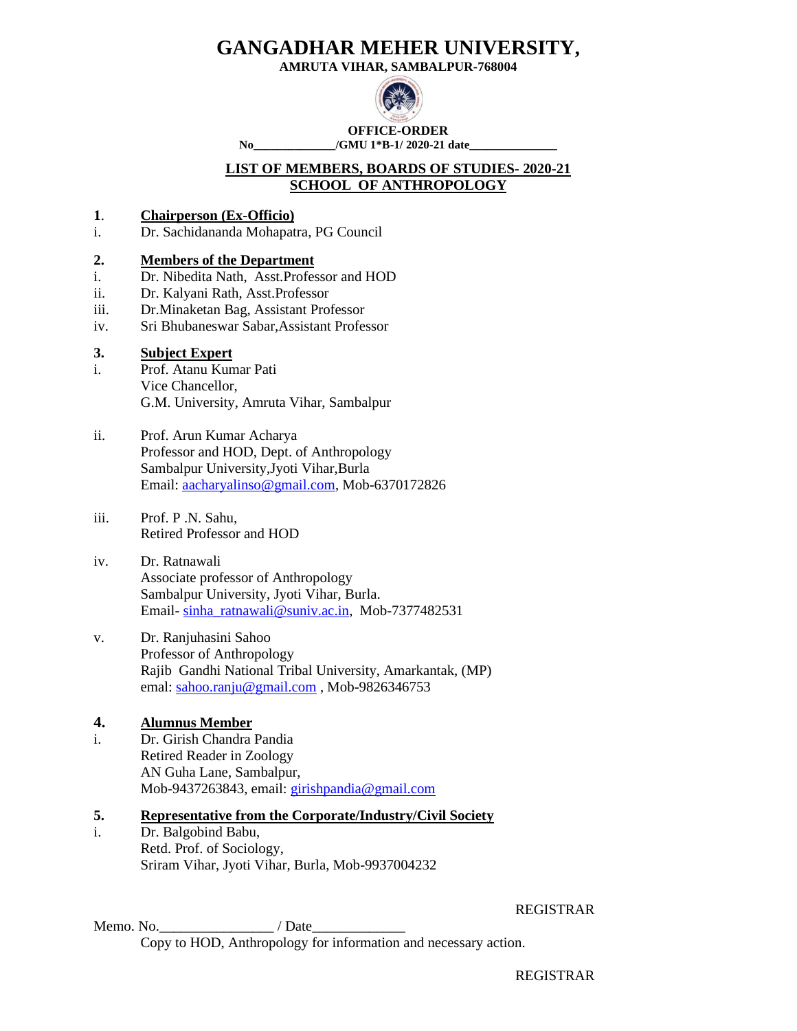**AMRUTA VIHAR, SAMBALPUR-768004**



**OFFICE-ORDER**

No /GMU 1<sup>\*</sup>B-1/ 2020-21 date

#### **LIST OF MEMBERS, BOARDS OF STUDIES- 2020-21 SCHOOL OF ANTHROPOLOGY**

- **1**. **Chairperson (Ex-Officio)**
- i. Dr. Sachidananda Mohapatra, PG Council

#### **2. Members of the Department**

- i. Dr. Nibedita Nath, Asst.Professor and HOD
- ii. Dr. Kalyani Rath, Asst.Professor
- iii. Dr.Minaketan Bag, Assistant Professor
- iv. Sri Bhubaneswar Sabar,Assistant Professor

### **3. Subject Expert**

- i. Prof. Atanu Kumar Pati Vice Chancellor, G.M. University, Amruta Vihar, Sambalpur
- ii. Prof. Arun Kumar Acharya Professor and HOD, Dept. of Anthropology Sambalpur University,Jyoti Vihar,Burla Email: [aacharyalinso@gmail.com,](mailto:aacharyalinso@gmail.com) Mob-6370172826
- iii. Prof. P .N. Sahu, Retired Professor and HOD
- iv. Dr. Ratnawali Associate professor of Anthropology Sambalpur University, Jyoti Vihar, Burla. Email- [sinha\\_ratnawali@suniv.ac.in,](mailto:sinha_ratnawali@suniv.ac.in) Mob-7377482531
- v. Dr. Ranjuhasini Sahoo Professor of Anthropology Rajib Gandhi National Tribal University, Amarkantak, (MP) emal: [sahoo.ranju@gmail.com](mailto:sahoo.ranju@gmail.com), Mob-9826346753

### **4. Alumnus Member**

i. Dr. Girish Chandra Pandia Retired Reader in Zoology AN Guha Lane, Sambalpur, Mob-9437263843, email: [girishpandia@gmail.com](mailto:girishpandia@gmail.com) 

### **5. Representative from the Corporate/Industry/Civil Society**

i. Dr. Balgobind Babu, Retd. Prof. of Sociology, Sriram Vihar, Jyoti Vihar, Burla, Mob-9937004232

Memo. No.\_\_\_\_\_\_\_\_\_\_\_\_\_\_\_\_ / Date\_\_\_\_\_\_\_\_\_\_\_\_\_ Copy to HOD, Anthropology for information and necessary action.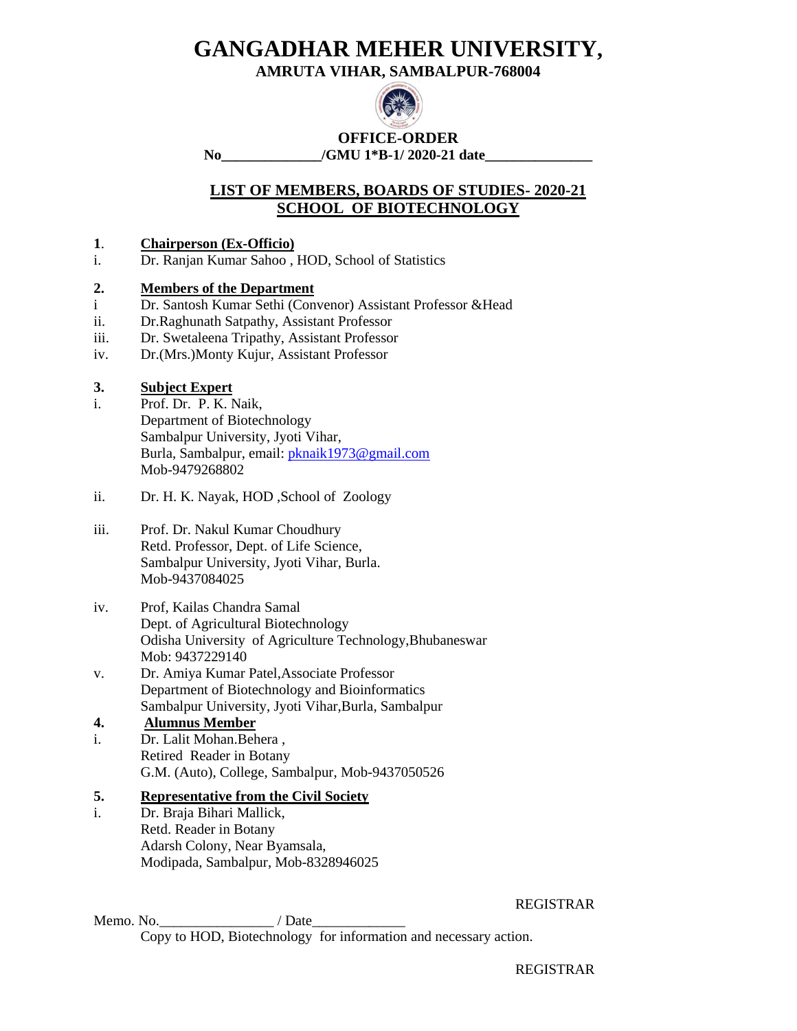**AMRUTA VIHAR, SAMBALPUR-768004**



**OFFICE-ORDER**

**No\_\_\_\_\_\_\_\_\_\_\_\_\_\_/GMU 1\*B-1/ 2020-21 date\_\_\_\_\_\_\_\_\_\_\_\_\_\_\_**

### **LIST OF MEMBERS, BOARDS OF STUDIES- 2020-21 SCHOOL OF BIOTECHNOLOGY**

### **1**. **Chairperson (Ex-Officio)**

i. Dr. Ranjan Kumar Sahoo , HOD, School of Statistics

### **2. Members of the Department**

- i Dr. Santosh Kumar Sethi (Convenor) Assistant Professor &Head
- ii. Dr.Raghunath Satpathy, Assistant Professor
- iii. Dr. Swetaleena Tripathy, Assistant Professor
- iv. Dr.(Mrs.)Monty Kujur, Assistant Professor

### **3. Subject Expert**

- i. Prof. Dr. P. K. Naik, Department of Biotechnology Sambalpur University, Jyoti Vihar, Burla, Sambalpur, email: [pknaik1973@gmail.com](mailto:pknaik1973@gmail.com) Mob-9479268802
- ii. Dr. H. K. Nayak, HOD ,School of Zoology
- iii. Prof. Dr. Nakul Kumar Choudhury Retd. Professor, Dept. of Life Science, Sambalpur University, Jyoti Vihar, Burla. Mob-9437084025
- iv. Prof, Kailas Chandra Samal Dept. of Agricultural Biotechnology Odisha University of Agriculture Technology,Bhubaneswar Mob: 9437229140
- v. Dr. Amiya Kumar Patel,Associate Professor Department of Biotechnology and Bioinformatics Sambalpur University, Jyoti Vihar,Burla, Sambalpur

### **4. Alumnus Member**

i. Dr. Lalit Mohan.Behera , Retired Reader in Botany G.M. (Auto), College, Sambalpur, Mob-9437050526

### **5. Representative from the Civil Society**

i. Dr. Braja Bihari Mallick, Retd. Reader in Botany Adarsh Colony, Near Byamsala, Modipada, Sambalpur, Mob-8328946025

REGISTRAR

Memo. No.\_\_\_\_\_\_\_\_\_\_\_\_\_\_\_\_ / Date\_\_\_\_\_\_\_\_\_\_\_\_\_ Copy to HOD, Biotechnology for information and necessary action.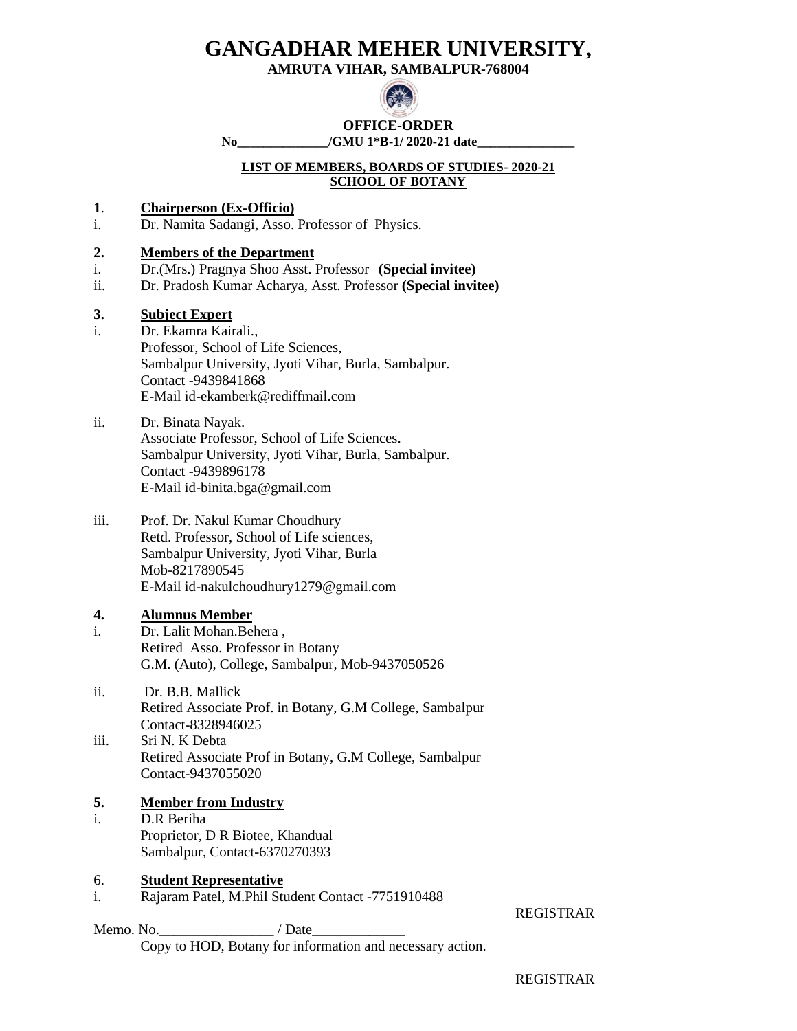**AMRUTA VIHAR, SAMBALPUR-768004**



# **OFFICE-ORDER**

**No\_\_\_\_\_\_\_\_\_\_\_\_\_\_/GMU 1\*B-1/ 2020-21 date\_\_\_\_\_\_\_\_\_\_\_\_\_\_\_**

#### **LIST OF MEMBERS, BOARDS OF STUDIES- 2020-21 SCHOOL OF BOTANY**

- **1**. **Chairperson (Ex-Officio)**
- i. Dr. Namita Sadangi, Asso. Professor of Physics.

### **2. Members of the Department**

- i. Dr.(Mrs.) Pragnya Shoo Asst. Professor **(Special invitee)**
- ii. Dr. Pradosh Kumar Acharya, Asst. Professor **(Special invitee)**

### **3. Subject Expert**

- i. Dr. Ekamra Kairali., Professor, School of Life Sciences, Sambalpur University, Jyoti Vihar, Burla, Sambalpur. Contact -9439841868 E-Mail id-ekamberk@rediffmail.com
- ii. Dr. Binata Nayak. Associate Professor, School of Life Sciences. Sambalpur University, Jyoti Vihar, Burla, Sambalpur. Contact -9439896178 E-Mail id-binita.bga@gmail.com
- iii. Prof. Dr. Nakul Kumar Choudhury Retd. Professor, School of Life sciences, Sambalpur University, Jyoti Vihar, Burla Mob-8217890545 E-Mail id-nakulchoudhury1279@gmail.com

### **4. Alumnus Member**

- i. Dr. Lalit Mohan.Behera , Retired Asso. Professor in Botany G.M. (Auto), College, Sambalpur, Mob-9437050526
- ii. Dr. B.B. Mallick Retired Associate Prof. in Botany, G.M College, Sambalpur Contact-8328946025
- iii. Sri N. K Debta Retired Associate Prof in Botany, G.M College, Sambalpur Contact-9437055020

### **5. Member from Industry**

i. D.R Beriha Proprietor, D R Biotee, Khandual Sambalpur, Contact-6370270393

#### 6. **Student Representative**

i. Rajaram Patel, M.Phil Student Contact -7751910488

REGISTRAR

Memo. No.\_\_\_\_\_\_\_\_\_\_\_\_\_\_\_\_\_\_\_\_\_\_\_\_/ Date\_ Copy to HOD, Botany for information and necessary action.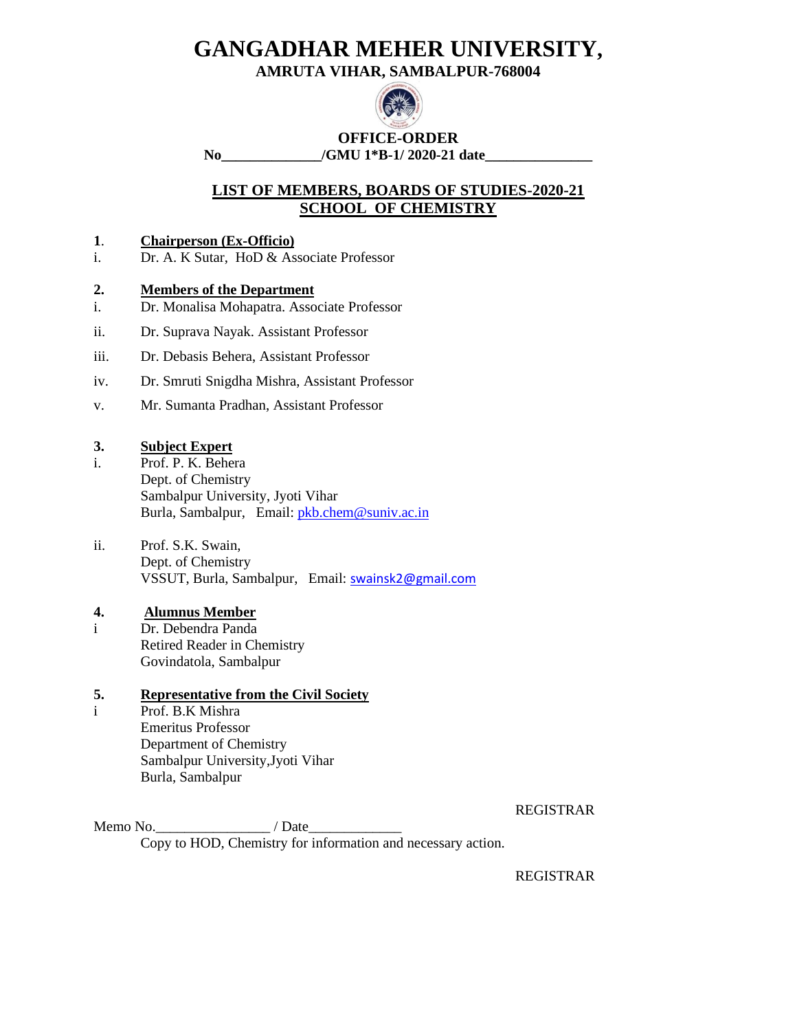**AMRUTA VIHAR, SAMBALPUR-768004**



**OFFICE-ORDER No\_\_\_\_\_\_\_\_\_\_\_\_\_\_/GMU 1\*B-1/ 2020-21 date\_\_\_\_\_\_\_\_\_\_\_\_\_\_\_**

**LIST OF MEMBERS, BOARDS OF STUDIES-2020-21 SCHOOL OF CHEMISTRY**

### **1**. **Chairperson (Ex-Officio)**

i. Dr. A. K Sutar, HoD & Associate Professor

### **2. Members of the Department**

- i. Dr. Monalisa Mohapatra. Associate Professor
- ii. Dr. Suprava Nayak. Assistant Professor
- iii. Dr. Debasis Behera, Assistant Professor
- iv. Dr. Smruti Snigdha Mishra, Assistant Professor
- v. Mr. Sumanta Pradhan, Assistant Professor

### **3. Subject Expert**

- i. Prof. P. K. Behera Dept. of Chemistry Sambalpur University, Jyoti Vihar Burla, Sambalpur, Email[: pkb.chem@suniv.ac.in](mailto:pkb.chem@suniv.ac.in)
- ii. Prof. S.K. Swain, Dept. of Chemistry VSSUT, Burla, Sambalpur, Email: [swainsk2@gmail.com](mailto:swainsk2@gmail.com)

#### **4. Alumnus Member**

i Dr. Debendra Panda Retired Reader in Chemistry Govindatola, Sambalpur

### **5. Representative from the Civil Society**

i Prof. B.K Mishra Emeritus Professor Department of Chemistry Sambalpur University,Jyoti Vihar Burla, Sambalpur

REGISTRAR

Memo No.  $\blacksquare$  / Date Copy to HOD, Chemistry for information and necessary action.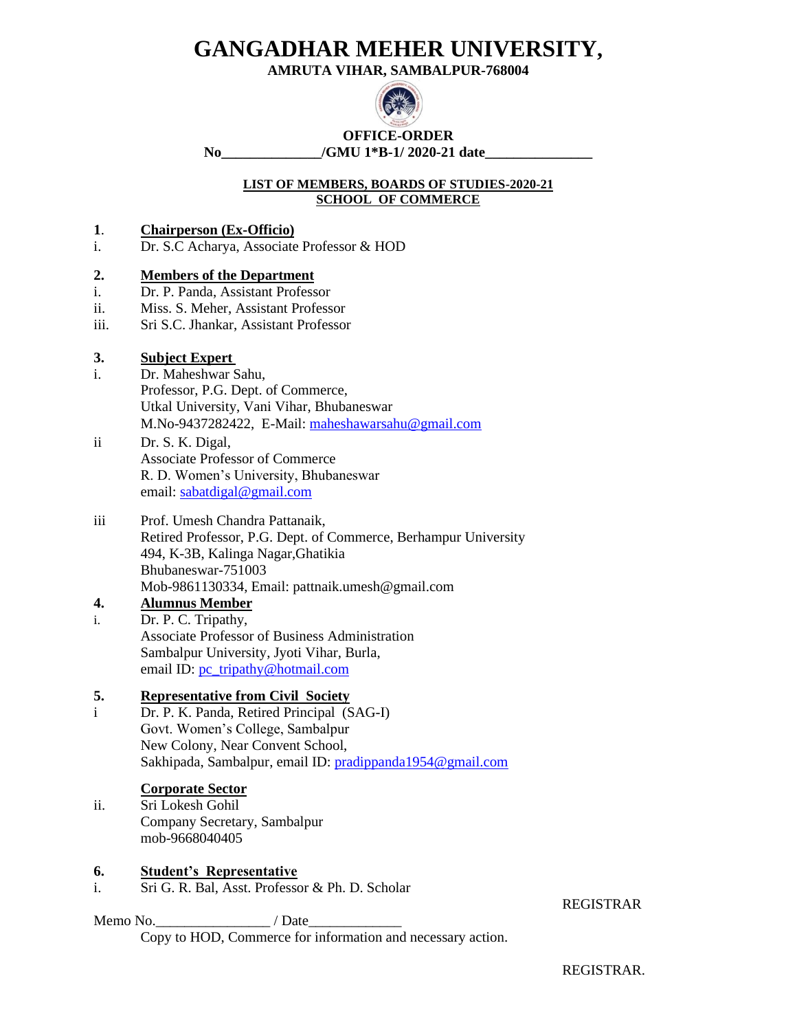**AMRUTA VIHAR, SAMBALPUR-768004**



**OFFICE-ORDER** No /GMU 1<sup>\*</sup>B-1/ 2020-21 date

### **LIST OF MEMBERS, BOARDS OF STUDIES-2020-21 SCHOOL OF COMMERCE**

### **1**. **Chairperson (Ex-Officio)**

i. Dr. S.C Acharya, Associate Professor & HOD

### **2. Members of the Department**

- i. Dr. P. Panda, Assistant Professor
- ii. Miss. S. Meher, Assistant Professor
- iii. Sri S.C. Jhankar, Assistant Professor

### **3. Subject Expert**

- i. Dr. Maheshwar Sahu, Professor, P.G. Dept. of Commerce, Utkal University, Vani Vihar, Bhubaneswar M.No-9437282422, E-Mail: [maheshawarsahu@gmail.com](mailto:maheshawarsahu@gmail.com)
- ii Dr. S. K. Digal, Associate Professor of Commerce R. D. Women's University, Bhubaneswar email: [sabatdigal@gmail.com](mailto:sabatdigal@gmail.com)

#### iii Prof. Umesh Chandra Pattanaik, Retired Professor, P.G. Dept. of Commerce, Berhampur University 494, K-3B, Kalinga Nagar,Ghatikia Bhubaneswar-751003 Mob-9861130334, Email: pattnaik.umesh@gmail.com

#### **4. Alumnus Member**

i. Dr. P. C. Tripathy, Associate Professor of Business Administration Sambalpur University, Jyoti Vihar, Burla, email ID: [pc\\_tripathy@hotmail.com](mailto:pc_tripathy@hotmail.com)

### **5. Representative from Civil Society**

i Dr. P. K. Panda, Retired Principal (SAG-I) Govt. Women's College, Sambalpur New Colony, Near Convent School, Sakhipada, Sambalpur, email ID: [pradippanda1954@gmail.com](mailto:pradippanda1954@gmail.com)

#### **Corporate Sector**

ii. Sri Lokesh Gohil Company Secretary, Sambalpur mob-9668040405

#### **6. Student's Representative**

i. Sri G. R. Bal, Asst. Professor & Ph. D. Scholar

Memo No.\_\_\_\_\_\_\_\_\_\_\_\_\_\_\_\_ / Date\_\_\_\_\_\_\_\_\_\_\_\_\_

Copy to HOD, Commerce for information and necessary action.

#### REGISTRAR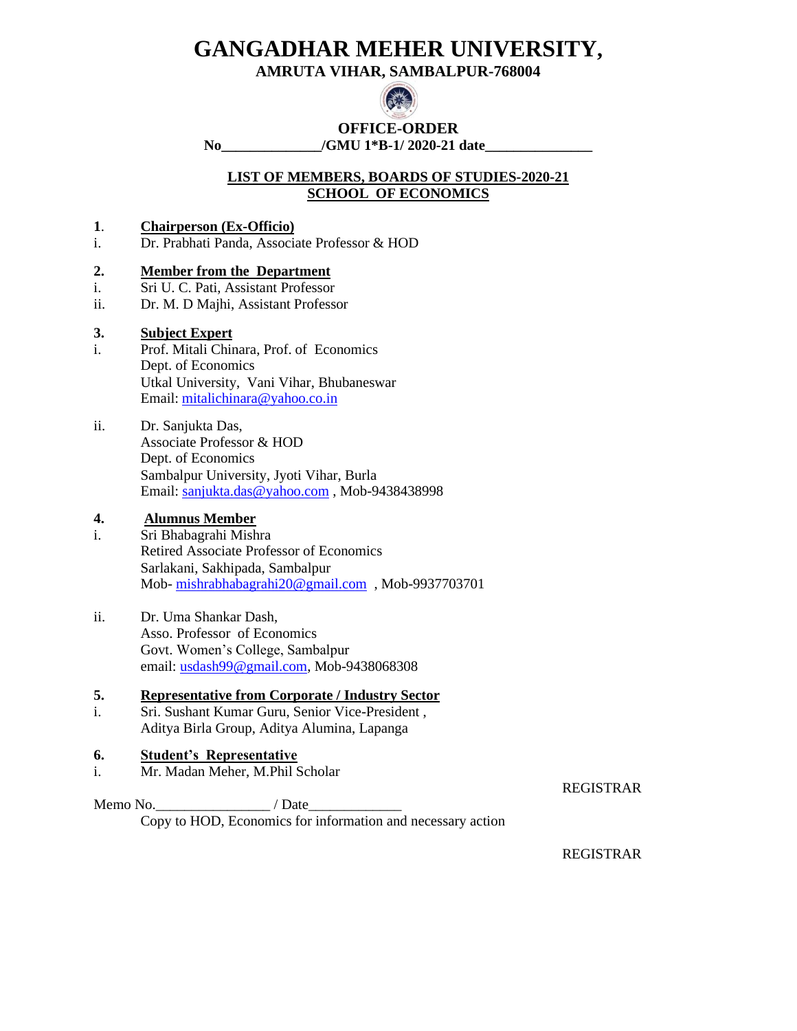**AMRUTA VIHAR, SAMBALPUR-768004**



### **OFFICE-ORDER**

**No\_\_\_\_\_\_\_\_\_\_\_\_\_\_/GMU 1\*B-1/ 2020-21 date\_\_\_\_\_\_\_\_\_\_\_\_\_\_\_**

### **LIST OF MEMBERS, BOARDS OF STUDIES-2020-21 SCHOOL OF ECONOMICS**

### **1**. **Chairperson (Ex-Officio)**

i. Dr. Prabhati Panda, Associate Professor & HOD

### **2. Member from the Department**

- i. Sri U. C. Pati, Assistant Professor
- ii. Dr. M. D Majhi, Assistant Professor

### **3. Subject Expert**

- i. Prof. Mitali Chinara, Prof. of Economics Dept. of Economics Utkal University, Vani Vihar, Bhubaneswar Email: [mitalichinara@yahoo.co.in](mailto:mitalichinara@yahoo.co.in)
- ii. Dr. Sanjukta Das, Associate Professor & HOD Dept. of Economics Sambalpur University, Jyoti Vihar, Burla Email: [sanjukta.das@yahoo.com](mailto:sanjukta.das@yahoo.com) , Mob-9438438998

### **4. Alumnus Member**

- i. Sri Bhabagrahi Mishra Retired Associate Professor of Economics Sarlakani, Sakhipada, Sambalpur Mob- [mishrabhabagrahi20@gmail.com](mailto:mishrabhabagrahi20@gmail.com) , Mob-9937703701
- ii. Dr. Uma Shankar Dash, Asso. Professor of Economics Govt. Women's College, Sambalpur email: [usdash99@gmail.com,](mailto:usdash99@gmail.com) Mob-9438068308

### **5. Representative from Corporate / Industry Sector**

i. Sri. Sushant Kumar Guru, Senior Vice-President , Aditya Birla Group, Aditya Alumina, Lapanga

### **6. Student's Representative**

i. Mr. Madan Meher, M.Phil Scholar

REGISTRAR

Memo No.\_\_\_\_\_\_\_\_\_\_\_\_\_\_\_\_ / Date\_\_\_\_\_\_\_\_\_\_\_\_\_ Copy to HOD, Economics for information and necessary action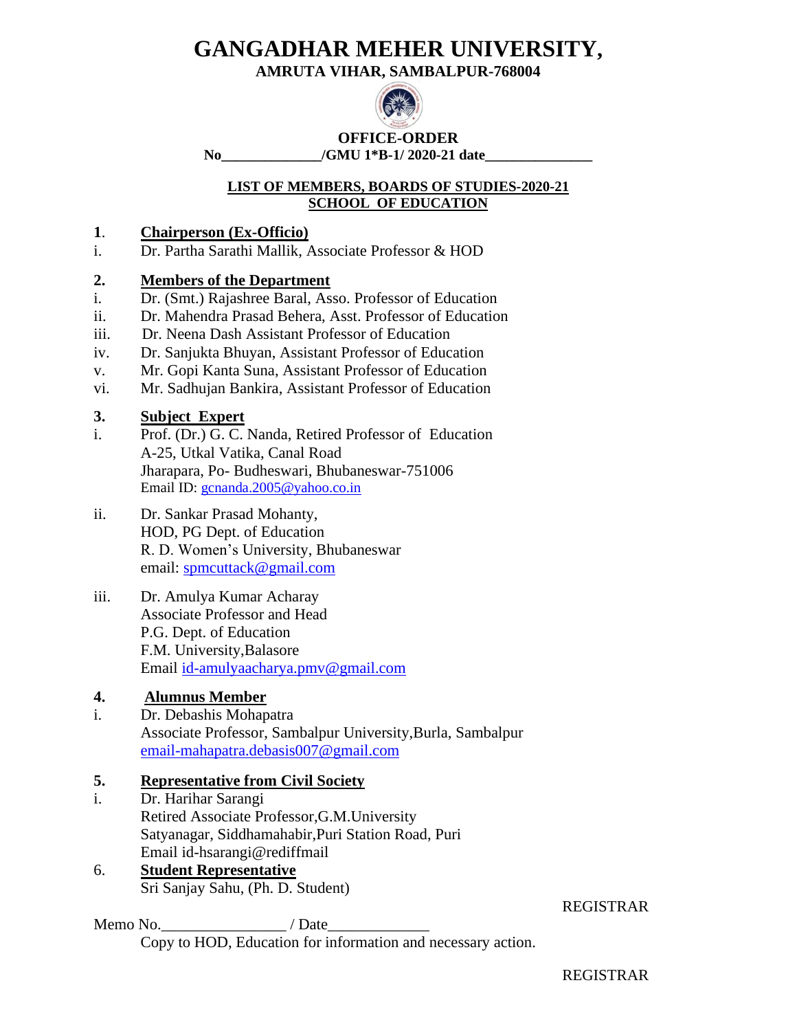**AMRUTA VIHAR, SAMBALPUR-768004**



**OFFICE-ORDER No\_\_\_\_\_\_\_\_\_\_\_\_\_\_/GMU 1\*B-1/ 2020-21 date\_\_\_\_\_\_\_\_\_\_\_\_\_\_\_**

### **LIST OF MEMBERS, BOARDS OF STUDIES-2020-21 SCHOOL OF EDUCATION**

# **1**. **Chairperson (Ex-Officio)**

i. Dr. Partha Sarathi Mallik, Associate Professor & HOD

# **2. Members of the Department**

- i. Dr. (Smt.) Rajashree Baral, Asso. Professor of Education
- ii. Dr. Mahendra Prasad Behera, Asst. Professor of Education
- iii. Dr. Neena Dash Assistant Professor of Education
- iv. Dr. Sanjukta Bhuyan, Assistant Professor of Education
- v. Mr. Gopi Kanta Suna, Assistant Professor of Education
- vi. Mr. Sadhujan Bankira, Assistant Professor of Education

# **3. Subject Expert**

- i. Prof. (Dr.) G. C. Nanda, Retired Professor of Education A-25, Utkal Vatika, Canal Road Jharapara, Po- Budheswari, Bhubaneswar-751006 Email ID: [gcnanda.2005@yahoo.co.in](mailto:gcnanda.2005@yahoo.co.in)
- ii. Dr. Sankar Prasad Mohanty, HOD, PG Dept. of Education R. D. Women's University, Bhubaneswar email: [spmcuttack@gmail.com](mailto:spmcuttack@gmail.com)
- iii. Dr. Amulya Kumar Acharay Associate Professor and Head P.G. Dept. of Education F.M. University,Balasore Email [id-amulyaacharya.pmv@gmail.com](mailto:id-amulyaacharya.pmv@gmail.com)

# **4. Alumnus Member**

i. Dr. Debashis Mohapatra Associate Professor, Sambalpur University,Burla, Sambalpur [email-mahapatra.debasis007@gmail.com](mailto:email-mahapatra.debasis007@gmail.com)

# **5. Representative from Civil Society**

i. Dr. Harihar Sarangi Retired Associate Professor,G.M.University Satyanagar, Siddhamahabir,Puri Station Road, Puri Email id-hsarangi@rediffmail

# 6. **Student Representative** Sri Sanjay Sahu, (Ph. D. Student)

Memo No.  $\blacksquare$  / Date Copy to HOD, Education for information and necessary action.

# REGISTRAR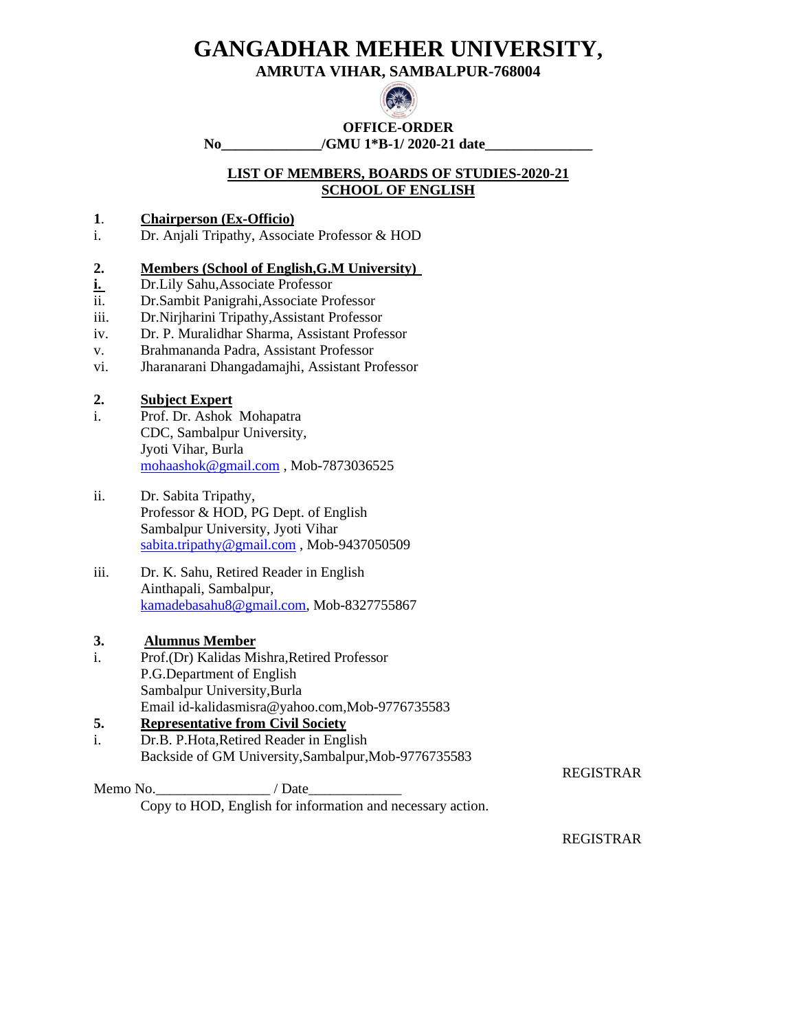**AMRUTA VIHAR, SAMBALPUR-768004**



# **OFFICE-ORDER**

**No\_\_\_\_\_\_\_\_\_\_\_\_\_\_/GMU 1\*B-1/ 2020-21 date\_\_\_\_\_\_\_\_\_\_\_\_\_\_\_**

### **LIST OF MEMBERS, BOARDS OF STUDIES-2020-21 SCHOOL OF ENGLISH**

### **1**. **Chairperson (Ex-Officio)**

i. Dr. Anjali Tripathy, Associate Professor & HOD

### **2. Members (School of English,G.M University)**

- **i.** Dr.Lily Sahu,Associate Professor
- ii. Dr.Sambit Panigrahi,Associate Professor
- iii. Dr.Nirjharini Tripathy,Assistant Professor
- iv. Dr. P. Muralidhar Sharma, Assistant Professor
- v. Brahmananda Padra, Assistant Professor
- vi. Jharanarani Dhangadamajhi, Assistant Professor

### **2. Subject Expert**

- i. Prof. Dr. Ashok Mohapatra CDC, Sambalpur University, Jyoti Vihar, Burla [mohaashok@gmail.com](mailto:mohaashok@gmail.com) , Mob-7873036525
- ii. Dr. Sabita Tripathy, Professor & HOD, PG Dept. of English Sambalpur University, Jyoti Vihar [sabita.tripathy@gmail.com](mailto:sabita.tripathy@gmail.com) , Mob-9437050509
- iii. Dr. K. Sahu, Retired Reader in English Ainthapali, Sambalpur, [kamadebasahu8@gmail.com,](mailto:kamadebasahu8@gmail.com) Mob-8327755867

### **3. Alumnus Member**

i. Prof.(Dr) Kalidas Mishra,Retired Professor P.G.Department of English Sambalpur University,Burla Email id-kalidasmisra@yahoo.com,Mob-9776735583

# **5. Representative from Civil Society**

i. Dr.B. P.Hota,Retired Reader in English Backside of GM University,Sambalpur,Mob-9776735583

Memo No.  $\blacksquare$  / Date Copy to HOD, English for information and necessary action.

REGISTRAR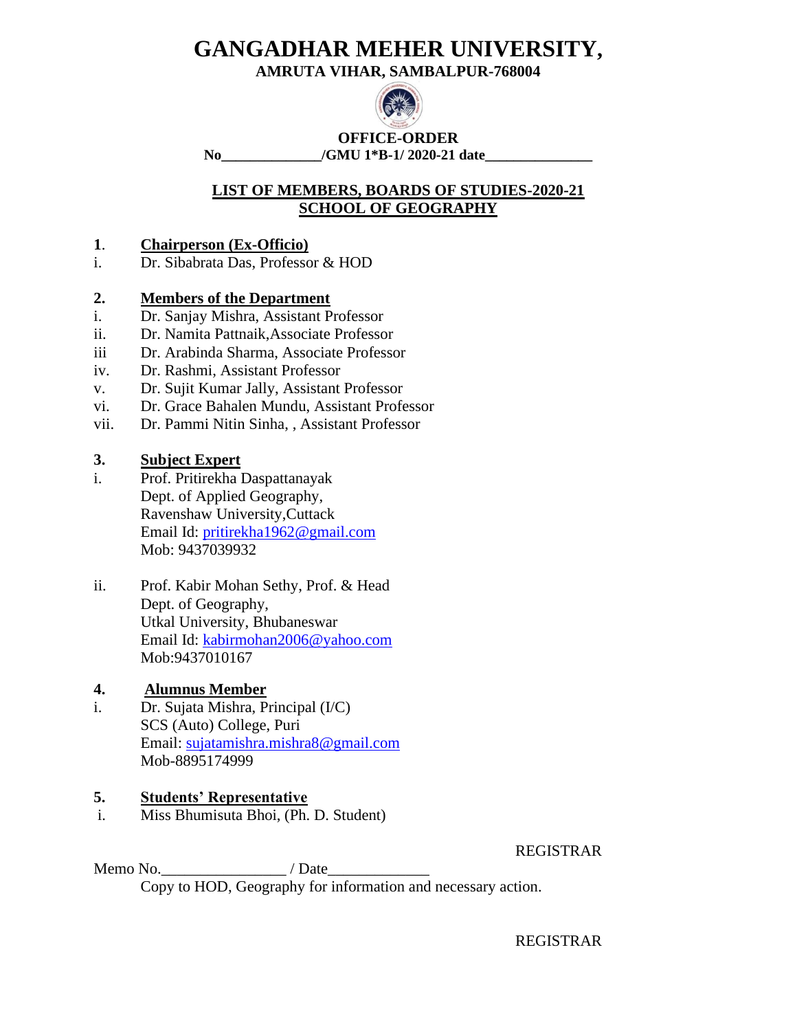**AMRUTA VIHAR, SAMBALPUR-768004**



**OFFICE-ORDER No\_\_\_\_\_\_\_\_\_\_\_\_\_\_/GMU 1\*B-1/ 2020-21 date\_\_\_\_\_\_\_\_\_\_\_\_\_\_\_**

# **LIST OF MEMBERS, BOARDS OF STUDIES-2020-21 SCHOOL OF GEOGRAPHY**

# **1**. **Chairperson (Ex-Officio)**

i. Dr. Sibabrata Das, Professor & HOD

# **2. Members of the Department**

- i. Dr. Sanjay Mishra, Assistant Professor
- ii. Dr. Namita Pattnaik,Associate Professor
- iii Dr. Arabinda Sharma, Associate Professor
- iv. Dr. Rashmi, Assistant Professor
- v. Dr. Sujit Kumar Jally, Assistant Professor
- vi. Dr. Grace Bahalen Mundu, Assistant Professor
- vii. Dr. Pammi Nitin Sinha, , Assistant Professor

# **3. Subject Expert**

- i. Prof. Pritirekha Daspattanayak Dept. of Applied Geography, Ravenshaw University,Cuttack Email Id: [pritirekha1962@gmail.com](mailto:pritirekha1962@gmail.com) Mob: 9437039932
- ii. Prof. Kabir Mohan Sethy, Prof. & Head Dept. of Geography, Utkal University, Bhubaneswar Email Id: [kabirmohan2006@yahoo.com](mailto:kabirmohan2006@yahoo.com) Mob:9437010167

# **4. Alumnus Member**

i. Dr. Sujata Mishra, Principal (I/C) SCS (Auto) College, Puri Email: [sujatamishra.mishra8@gmail.com](mailto:sujatamishra.mishra8@gmail.com) Mob-8895174999

# **5. Students' Representative**

i. Miss Bhumisuta Bhoi, (Ph. D. Student)

REGISTRAR

Memo No.  $\blacksquare$  / Date Copy to HOD, Geography for information and necessary action.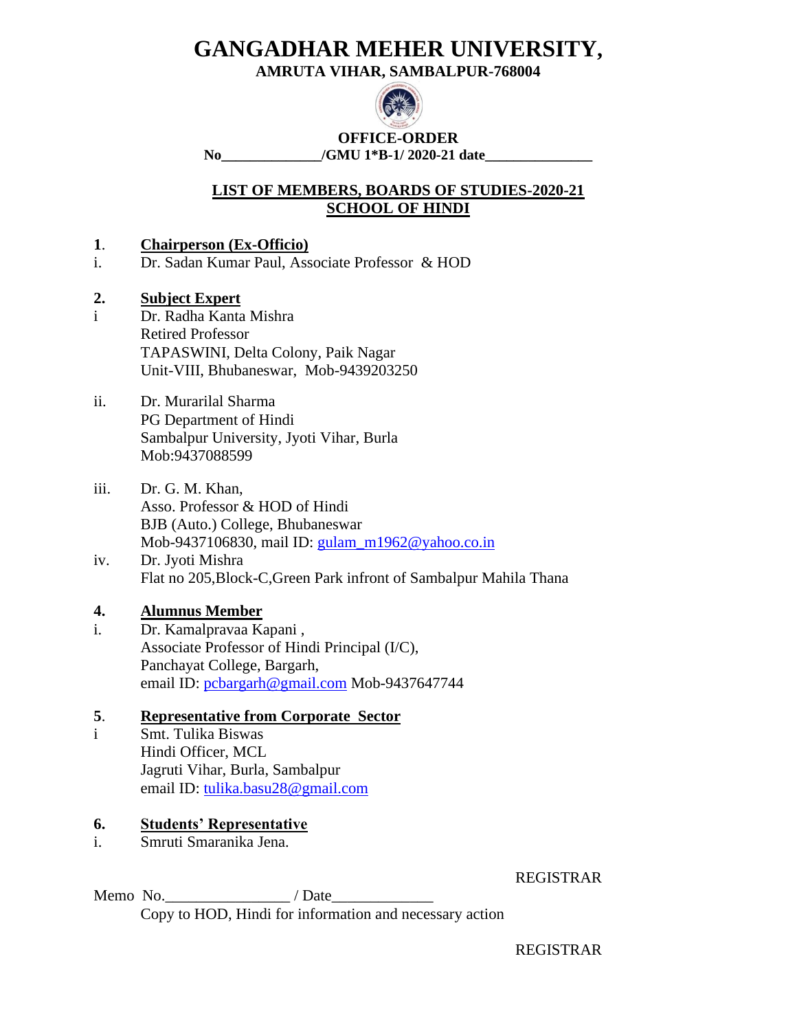**AMRUTA VIHAR, SAMBALPUR-768004**



**OFFICE-ORDER No\_\_\_\_\_\_\_\_\_\_\_\_\_\_/GMU 1\*B-1/ 2020-21 date\_\_\_\_\_\_\_\_\_\_\_\_\_\_\_**

# **LIST OF MEMBERS, BOARDS OF STUDIES-2020-21 SCHOOL OF HINDI**

# **1**. **Chairperson (Ex-Officio)**

i. Dr. Sadan Kumar Paul, Associate Professor & HOD

# **2. Subject Expert**

i Dr. Radha Kanta Mishra Retired Professor TAPASWINI, Delta Colony, Paik Nagar Unit-VIII, Bhubaneswar, Mob-9439203250

### ii. Dr. Murarilal Sharma PG Department of Hindi Sambalpur University, Jyoti Vihar, Burla Mob:9437088599

- iii. Dr. G. M. Khan, Asso. Professor & HOD of Hindi BJB (Auto.) College, Bhubaneswar Mob-9437106830, mail ID: [gulam\\_m1962@yahoo.co.in](mailto:gulam_m1962@yahoo.co.in)
- iv. Dr. Jyoti Mishra Flat no 205,Block-C,Green Park infront of Sambalpur Mahila Thana

# **4. Alumnus Member**

i. Dr. Kamalpravaa Kapani , Associate Professor of Hindi Principal (I/C), Panchayat College, Bargarh, email ID: [pcbargarh@gmail.com](mailto:pcbargarh@gmail.com) Mob-9437647744

# **5**. **Representative from Corporate Sector**

i Smt. Tulika Biswas Hindi Officer, MCL Jagruti Vihar, Burla, Sambalpur email ID: [tulika.basu28@gmail.com](mailto:tulika.basu28@gmail.com)

# **6. Students' Representative**

i. Smruti Smaranika Jena.

REGISTRAR

Memo No.  $/$  Date Copy to HOD, Hindi for information and necessary action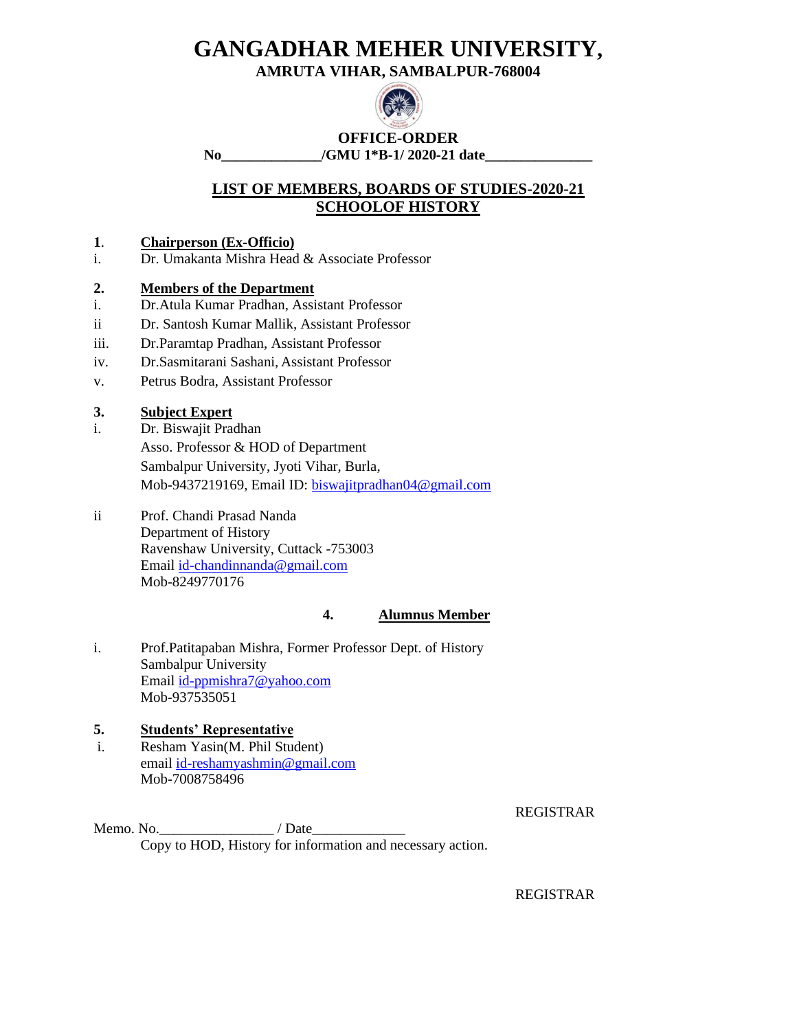**AMRUTA VIHAR, SAMBALPUR-768004**



**OFFICE-ORDER No\_\_\_\_\_\_\_\_\_\_\_\_\_\_/GMU 1\*B-1/ 2020-21 date\_\_\_\_\_\_\_\_\_\_\_\_\_\_\_**

# **LIST OF MEMBERS, BOARDS OF STUDIES-2020-21 SCHOOLOF HISTORY**

### **1**. **Chairperson (Ex-Officio)**

i. Dr. Umakanta Mishra Head & Associate Professor

### **2. Members of the Department**

- i. Dr.Atula Kumar Pradhan, Assistant Professor
- ii Dr. Santosh Kumar Mallik, Assistant Professor
- iii. Dr.Paramtap Pradhan, Assistant Professor
- iv. Dr.Sasmitarani Sashani, Assistant Professor
- v. Petrus Bodra, Assistant Professor

# **3. Subject Expert**

- i. Dr. Biswajit Pradhan Asso. Professor & HOD of Department Sambalpur University, Jyoti Vihar, Burla, Mob-9437219169, Email ID: [biswajitpradhan04@gmail.com](mailto:biswajitpradhan04@gmail.com)
- ii Prof. Chandi Prasad Nanda Department of History Ravenshaw University, Cuttack -753003 Email [id-chandinnanda@gmail.com](mailto:id-chandinnanda@gmail.com) Mob-8249770176

#### **4. Alumnus Member**

i. Prof.Patitapaban Mishra, Former Professor Dept. of History Sambalpur University Email [id-ppmishra7@yahoo.com](mailto:id-ppmishra7@yahoo.com) Mob-937535051

#### **5. Students' Representative** i. Resham Yasin(M. Phil Student) email [id-reshamyashmin@gmail.com](mailto:id-reshamyashmin@gmail.com) Mob-7008758496

REGISTRAR

Memo. No.  $\blacksquare$  / Date Copy to HOD, History for information and necessary action.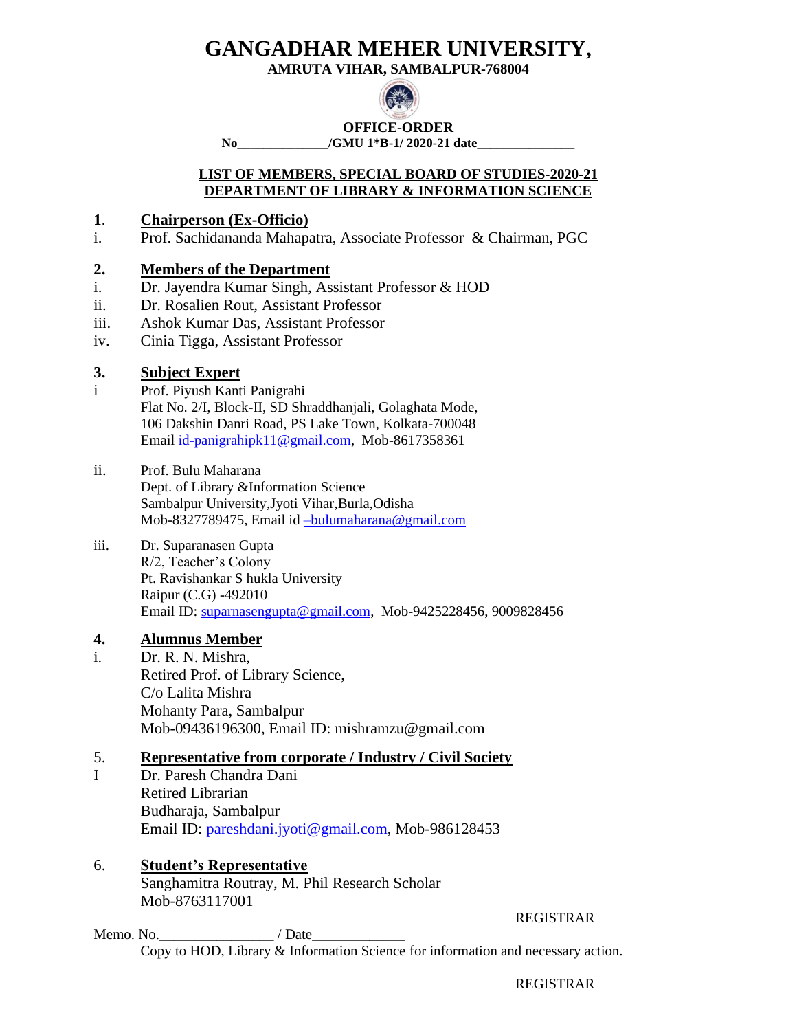**AMRUTA VIHAR, SAMBALPUR-768004**



### **OFFICE-ORDER**

**No\_\_\_\_\_\_\_\_\_\_\_\_\_\_/GMU 1\*B-1/ 2020-21 date\_\_\_\_\_\_\_\_\_\_\_\_\_\_\_**

### **LIST OF MEMBERS, SPECIAL BOARD OF STUDIES-2020-21 DEPARTMENT OF LIBRARY & INFORMATION SCIENCE**

# **1**. **Chairperson (Ex-Officio)**

i. Prof. Sachidananda Mahapatra, Associate Professor & Chairman, PGC

### **2. Members of the Department**

- i. Dr. Jayendra Kumar Singh, Assistant Professor & HOD
- ii. Dr. Rosalien Rout, Assistant Professor
- iii. Ashok Kumar Das, Assistant Professor
- iv. Cinia Tigga, Assistant Professor

# **3. Subject Expert**

- i Prof. Piyush Kanti Panigrahi Flat No. 2/I, Block-II, SD Shraddhanjali, Golaghata Mode, 106 Dakshin Danri Road, PS Lake Town, Kolkata-700048 Email [id-panigrahipk11@gmail.com,](mailto:id-panigrahipk11@gmail.com) Mob-8617358361
- ii. Prof. Bulu Maharana Dept. of Library &Information Science Sambalpur University,Jyoti Vihar,Burla,Odisha Mob-8327789475, Email id [–bulumaharana@gmail.com](mailto:–bulumaharana@gmail.com)
- iii. Dr. Suparanasen Gupta R/2, Teacher's Colony Pt. Ravishankar S hukla University Raipur (C.G) -492010 Email ID: [suparnasengupta@gmail.com,](mailto:suparnasengupta@gmail.com) Mob-9425228456, 9009828456

# **4. Alumnus Member**

i. Dr. R. N. Mishra, Retired Prof. of Library Science, C/o Lalita Mishra Mohanty Para, Sambalpur Mob-09436196300, Email ID: mishramzu@gmail.com

# 5. **Representative from corporate / Industry / Civil Society**

I Dr. Paresh Chandra Dani Retired Librarian Budharaja, Sambalpur Email ID: [pareshdani.jyoti@gmail.com,](mailto:pareshdani.jyoti@gmail.com) Mob-986128453

### 6. **Student's Representative** Sanghamitra Routray, M. Phil Research Scholar Mob-8763117001

REGISTRAR

Memo. No. 2008 / Date Copy to HOD, Library & Information Science for information and necessary action.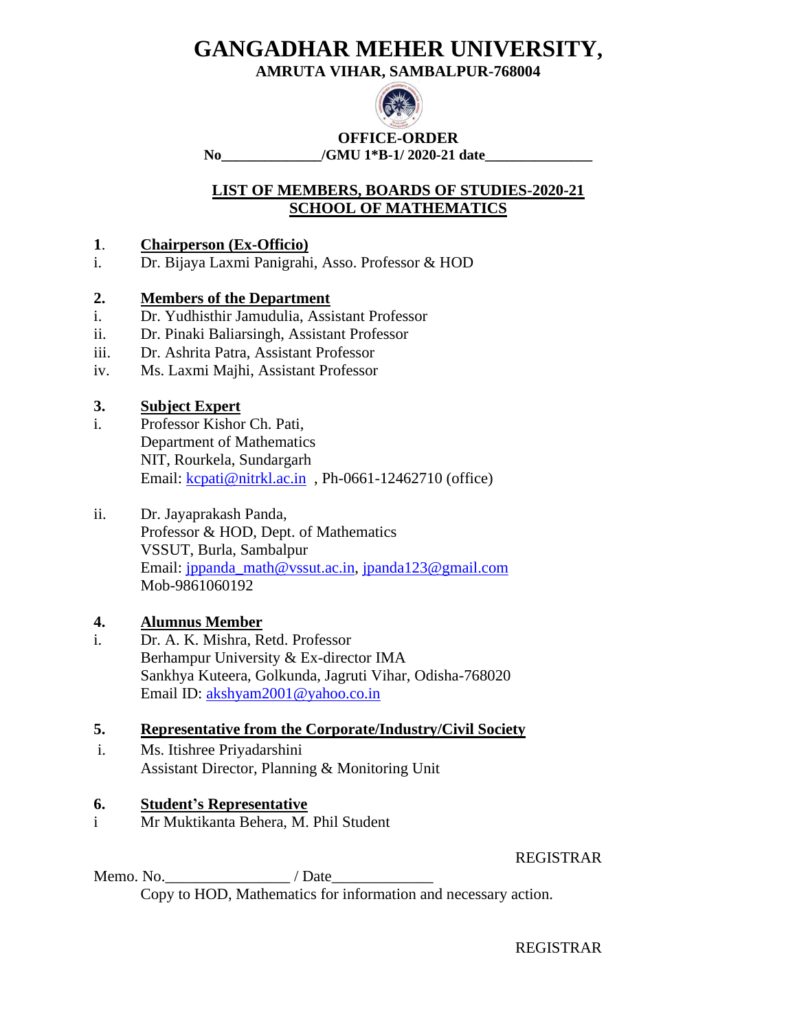**AMRUTA VIHAR, SAMBALPUR-768004**



**OFFICE-ORDER No\_\_\_\_\_\_\_\_\_\_\_\_\_\_/GMU 1\*B-1/ 2020-21 date\_\_\_\_\_\_\_\_\_\_\_\_\_\_\_**

# **LIST OF MEMBERS, BOARDS OF STUDIES-2020-21 SCHOOL OF MATHEMATICS**

### **1**. **Chairperson (Ex-Officio)**

i. Dr. Bijaya Laxmi Panigrahi, Asso. Professor & HOD

### **2. Members of the Department**

- i. Dr. Yudhisthir Jamudulia, Assistant Professor
- ii. Dr. Pinaki Baliarsingh, Assistant Professor
- iii. Dr. Ashrita Patra, Assistant Professor
- iv. Ms. Laxmi Majhi, Assistant Professor

# **3. Subject Expert**

i. Professor Kishor Ch. Pati, Department of Mathematics NIT, Rourkela, Sundargarh Email: [kcpati@nitrkl.ac.in](mailto:kcpati@nitrkl.ac.in), Ph-0661-12462710 (office)

### ii. Dr. Jayaprakash Panda, Professor & HOD, Dept. of Mathematics VSSUT, Burla, Sambalpur Email: [jppanda\\_math@vssut.ac.in,](mailto:jppanda_math@vssut.ac.in) [jpanda123@gmail.com](mailto:jpanda123@gmail.com) Mob-9861060192

# **4. Alumnus Member**

i. Dr. A. K. Mishra, Retd. Professor Berhampur University & Ex-director IMA Sankhya Kuteera, Golkunda, Jagruti Vihar, Odisha-768020 Email ID: [akshyam2001@yahoo.co.in](mailto:akshyam2001@yahoo.co.in)

# **5. Representative from the Corporate/Industry/Civil Society**

i. Ms. Itishree Priyadarshini Assistant Director, Planning & Monitoring Unit

# **6. Student's Representative**

i Mr Muktikanta Behera, M. Phil Student

REGISTRAR

Memo. No.\_\_\_\_\_\_\_\_\_\_\_\_\_\_\_\_ / Date\_\_\_\_\_\_\_\_\_\_\_\_\_ Copy to HOD, Mathematics for information and necessary action.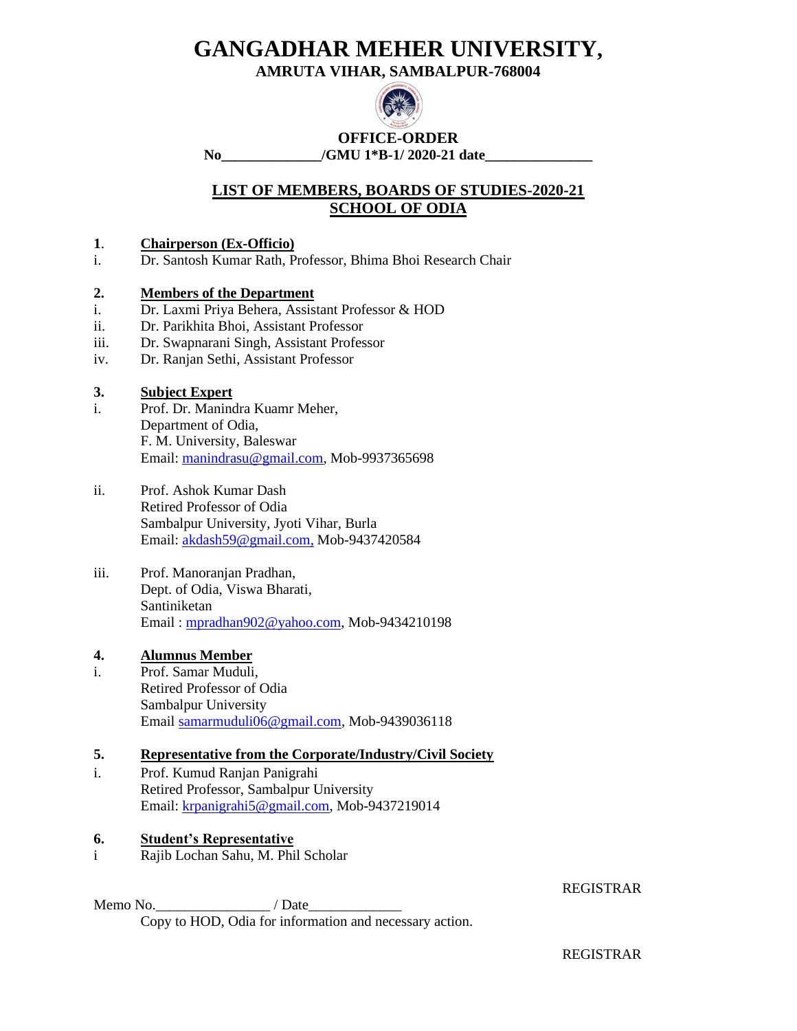**AMRUTA VIHAR, SAMBALPUR-768004**



**OFFICE-ORDER No\_\_\_\_\_\_\_\_\_\_\_\_\_\_/GMU 1\*B-1/ 2020-21 date\_\_\_\_\_\_\_\_\_\_\_\_\_\_\_**

**LIST OF MEMBERS, BOARDS OF STUDIES-2020-21 SCHOOL OF ODIA**

### **1**. **Chairperson (Ex-Officio)**

i. Dr. Santosh Kumar Rath, Professor, Bhima Bhoi Research Chair

### **2. Members of the Department**

- i. Dr. Laxmi Priya Behera, Assistant Professor & HOD
- ii. Dr. Parikhita Bhoi, Assistant Professor
- iii. Dr. Swapnarani Singh, Assistant Professor
- iv. Dr. Ranjan Sethi, Assistant Professor

### **3. Subject Expert**

- i. Prof. Dr. Manindra Kuamr Meher, Department of Odia, F. M. University, Baleswar Email: [manindrasu@gmail.com,](mailto:manindrasu@gmail.com) Mob-9937365698
- ii. Prof. Ashok Kumar Dash Retired Professor of Odia Sambalpur University, Jyoti Vihar, Burla Email: [akdash59@gmail.com,](mailto:akdash59@gmail.com,) Mob-9437420584
- iii. Prof. Manoranjan Pradhan, Dept. of Odia, Viswa Bharati, Santiniketan Email : [mpradhan902@yahoo.com,](mailto:mpradhan902@yahoo.com) Mob-9434210198

### **4. Alumnus Member**

i. Prof. Samar Muduli, Retired Professor of Odia Sambalpur University Email [samarmuduli06@gmail.com,](mailto:samarmuduli06@gmail.com) Mob-9439036118

### **5. Representative from the Corporate/Industry/Civil Society**

i. Prof. Kumud Ranjan Panigrahi Retired Professor, Sambalpur University Email: [krpanigrahi5@gmail.com,](mailto:krpanigrahi5@gmail.com) Mob-9437219014

### **6. Student's Representative**

i Rajib Lochan Sahu, M. Phil Scholar

REGISTRAR

Memo No.\_\_\_\_\_\_\_\_\_\_\_\_\_\_\_\_ / Date\_\_\_\_\_\_\_\_\_\_\_\_\_ Copy to HOD, Odia for information and necessary action.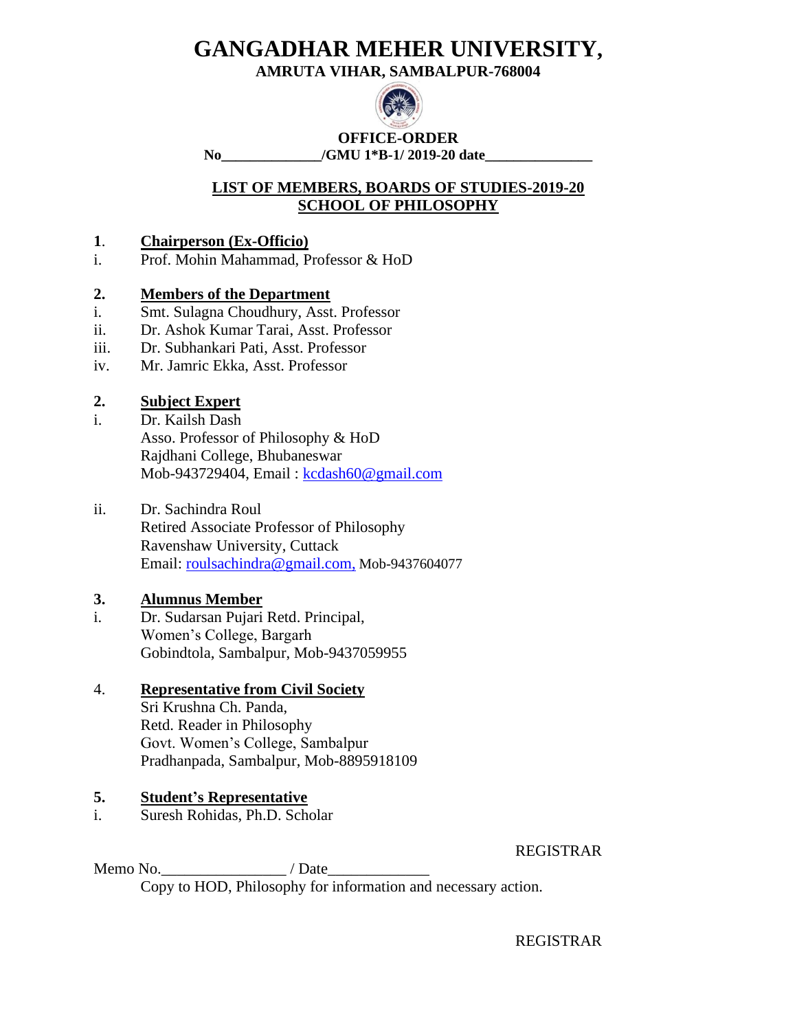**AMRUTA VIHAR, SAMBALPUR-768004**



**OFFICE-ORDER No\_\_\_\_\_\_\_\_\_\_\_\_\_\_/GMU 1\*B-1/ 2019-20 date\_\_\_\_\_\_\_\_\_\_\_\_\_\_\_**

# **LIST OF MEMBERS, BOARDS OF STUDIES-2019-20 SCHOOL OF PHILOSOPHY**

# **1**. **Chairperson (Ex-Officio)**

i. Prof. Mohin Mahammad, Professor & HoD

# **2. Members of the Department**

- i. Smt. Sulagna Choudhury, Asst. Professor
- ii. Dr. Ashok Kumar Tarai, Asst. Professor
- iii. Dr. Subhankari Pati, Asst. Professor
- iv. Mr. Jamric Ekka, Asst. Professor

# **2. Subject Expert**

i. Dr. Kailsh Dash Asso. Professor of Philosophy & HoD Rajdhani College, Bhubaneswar Mob-943729404, Email: [kcdash60@gmail.com](mailto:kcdash60@gmail.com)

### ii. Dr. Sachindra Roul

Retired Associate Professor of Philosophy Ravenshaw University, Cuttack Email: [roulsachindra@gmail.com,](mailto:roulsachindra@gmail.com,) Mob-9437604077

# **3. Alumnus Member**

i. Dr. Sudarsan Pujari Retd. Principal, Women's College, Bargarh Gobindtola, Sambalpur, Mob-9437059955

# 4. **Representative from Civil Society**

Sri Krushna Ch. Panda, Retd. Reader in Philosophy Govt. Women's College, Sambalpur Pradhanpada, Sambalpur, Mob-8895918109

# **5. Student's Representative**

i. Suresh Rohidas, Ph.D. Scholar

REGISTRAR

Memo No.  $\blacksquare$  / Date Copy to HOD, Philosophy for information and necessary action.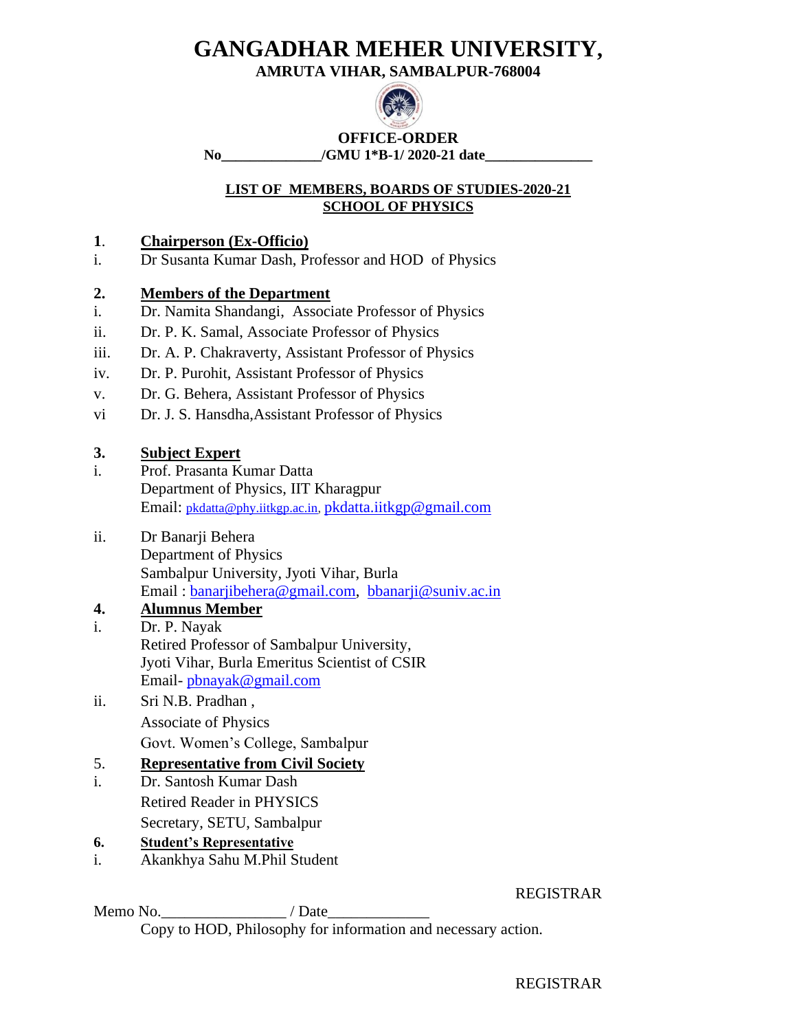**AMRUTA VIHAR, SAMBALPUR-768004**



**OFFICE-ORDER No\_\_\_\_\_\_\_\_\_\_\_\_\_\_/GMU 1\*B-1/ 2020-21 date\_\_\_\_\_\_\_\_\_\_\_\_\_\_\_**

# **LIST OF MEMBERS, BOARDS OF STUDIES-2020-21 SCHOOL OF PHYSICS**

# **1**. **Chairperson (Ex-Officio)**

i. Dr Susanta Kumar Dash, Professor and HOD of Physics

# **2. Members of the Department**

- i. Dr. Namita Shandangi, Associate Professor of Physics
- ii. Dr. P. K. Samal, Associate Professor of Physics
- iii. Dr. A. P. Chakraverty, Assistant Professor of Physics
- iv. Dr. P. Purohit, Assistant Professor of Physics
- v. Dr. G. Behera, Assistant Professor of Physics
- vi Dr. J. S. Hansdha,Assistant Professor of Physics

# **3. Subject Expert**

- i. Prof. Prasanta Kumar Datta Department of Physics, IIT Kharagpur Email: [pkdatta@phy.iitkgp.ac.in,](mailto:pkdatta@phy.iitkgp.ac.in) [pkdatta.iitkgp@gmail.com](mailto:pkdatta.iitkgp@gmail.com)
- ii. Dr Banarji Behera Department of Physics Sambalpur University, Jyoti Vihar, Burla Email : [banarjibehera@gmail.com,](mailto:banarjibehera@gmail.com) [bbanarji@suniv.ac.in](mailto:bbanarji@suniv.ac.in)

# **4. Alumnus Member**

- i. Dr. P. Nayak Retired Professor of Sambalpur University, Jyoti Vihar, Burla Emeritus Scientist of CSIR Email- [pbnayak@gmail.com](mailto:pbnayak@gmail.com)
- ii. Sri N.B. Pradhan , Associate of Physics Govt. Women's College, Sambalpur

# 5. **Representative from Civil Society**

- i. Dr. Santosh Kumar Dash Retired Reader in PHYSICS Secretary, SETU, Sambalpur
- **6. Student's Representative**
- i. Akankhya Sahu M.Phil Student

### REGISTRAR

Memo No. 42.4 / Date

Copy to HOD, Philosophy for information and necessary action.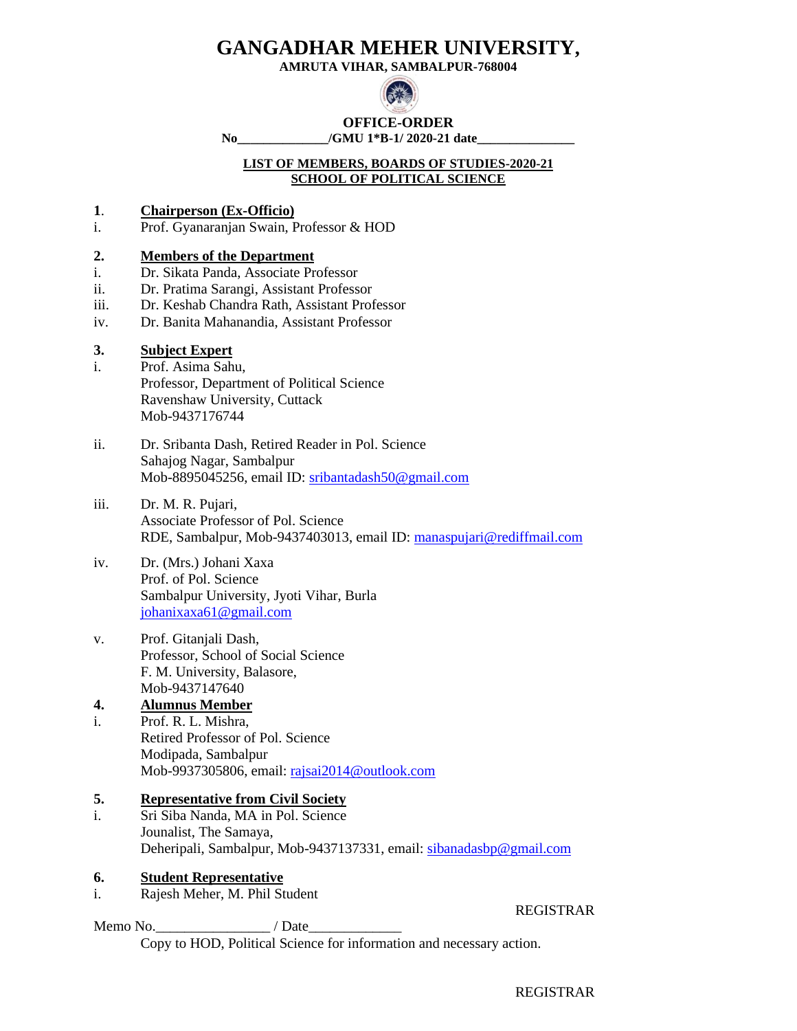**AMRUTA VIHAR, SAMBALPUR-768004**



# **OFFICE-ORDER**

**No\_\_\_\_\_\_\_\_\_\_\_\_\_\_/GMU 1\*B-1/ 2020-21 date\_\_\_\_\_\_\_\_\_\_\_\_\_\_\_**

#### **LIST OF MEMBERS, BOARDS OF STUDIES-2020-21 SCHOOL OF POLITICAL SCIENCE**

- **1**. **Chairperson (Ex-Officio)**
- i. Prof. Gyanaranjan Swain, Professor & HOD

#### **2. Members of the Department**

- i. Dr. Sikata Panda, Associate Professor
- ii. Dr. Pratima Sarangi, Assistant Professor
- iii. Dr. Keshab Chandra Rath, Assistant Professor
- iv. Dr. Banita Mahanandia, Assistant Professor

### **3. Subject Expert**

- i. Prof. Asima Sahu, Professor, Department of Political Science Ravenshaw University, Cuttack Mob-9437176744
- ii. Dr. Sribanta Dash, Retired Reader in Pol. Science Sahajog Nagar, Sambalpur Mob-8895045256, email ID: sribantadash50@gmail.com
- iii. Dr. M. R. Pujari, Associate Professor of Pol. Science RDE, Sambalpur, Mob-9437403013, email ID: [manaspujari@rediffmail.com](mailto:manaspujari@rediffmail.com)
- iv. Dr. (Mrs.) Johani Xaxa Prof. of Pol. Science Sambalpur University, Jyoti Vihar, Burla [johanixaxa61@gmail.com](mailto:johanixaxa61@gmail.com)
- v. Prof. Gitanjali Dash, Professor, School of Social Science F. M. University, Balasore, Mob-9437147640

### **4. Alumnus Member**

i. Prof. R. L. Mishra, Retired Professor of Pol. Science Modipada, Sambalpur Mob-9937305806, email: [rajsai2014@outlook.com](mailto:rajsai2014@outlook.com)

#### **5. Representative from Civil Society**

i. Sri Siba Nanda, MA in Pol. Science Jounalist, The Samaya, Deheripali, Sambalpur, Mob-9437137331, email: [sibanadasbp@gmail.com](mailto:sibanadasbp@gmail.com)

#### **6. Student Representative**

i. Rajesh Meher, M. Phil Student

Memo No.\_\_\_\_\_\_\_\_\_\_\_\_\_\_\_\_ / Date\_\_\_\_\_\_\_\_\_\_\_\_\_

Copy to HOD, Political Science for information and necessary action.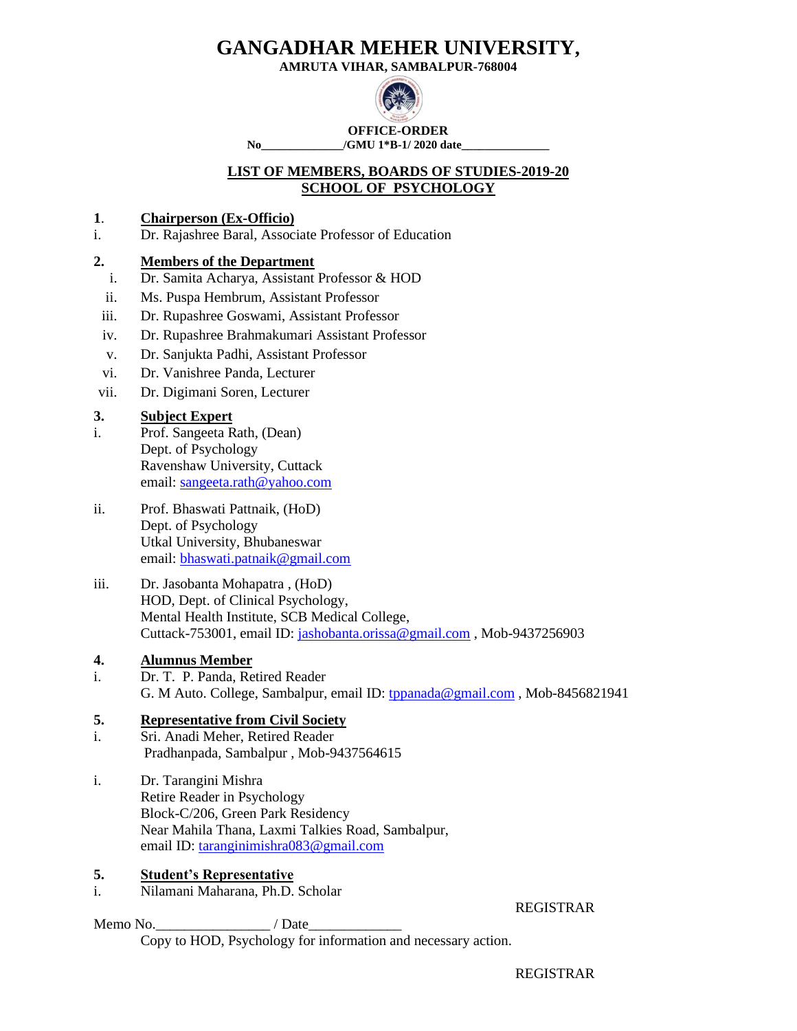**AMRUTA VIHAR, SAMBALPUR-768004**



**OFFICE-ORDER** No /GMU 1<sup>\*</sup>B-1/ 2020 date

### **LIST OF MEMBERS, BOARDS OF STUDIES-2019-20 SCHOOL OF PSYCHOLOGY**

### **1**. **Chairperson (Ex-Officio)**

i. Dr. Rajashree Baral, Associate Professor of Education

### **2. Members of the Department**

- i. Dr. Samita Acharya, Assistant Professor & HOD
- ii. Ms. Puspa Hembrum, Assistant Professor
- iii. Dr. Rupashree Goswami, Assistant Professor
- iv. Dr. Rupashree Brahmakumari Assistant Professor
- v. Dr. Sanjukta Padhi, Assistant Professor
- vi. Dr. Vanishree Panda, Lecturer
- vii. Dr. Digimani Soren, Lecturer

### **3. Subject Expert**

- i. Prof. Sangeeta Rath, (Dean) Dept. of Psychology Ravenshaw University, Cuttack email: [sangeeta.rath@yahoo.com](mailto:sangeeta.rath@yahoo.com)
- ii. Prof. Bhaswati Pattnaik, (HoD) Dept. of Psychology Utkal University, Bhubaneswar email: [bhaswati.patnaik@gmail.com](mailto:bhaswati.patnaik@gmail.com)
- iii. Dr. Jasobanta Mohapatra , (HoD) HOD, Dept. of Clinical Psychology, Mental Health Institute, SCB Medical College, Cuttack-753001, email ID: [jashobanta.orissa@gmail.com](mailto:jasobanta.orissa@gmail.com) , Mob-9437256903
- **4. Alumnus Member**
- i. Dr. T. P. Panda, Retired Reader G. M Auto. College, Sambalpur, email ID: [tppanada@gmail.com](mailto:tppanada@gmail.com), Mob-8456821941

### **5. Representative from Civil Society**

- i. Sri. Anadi Meher, Retired Reader Pradhanpada, Sambalpur , Mob-9437564615
- i. Dr. Tarangini Mishra Retire Reader in Psychology Block-C/206, Green Park Residency Near Mahila Thana, Laxmi Talkies Road, Sambalpur, email ID: [taranginimishra083@gmail.com](mailto:taranginimishra083@gmail.com)

### **5. Student's Representative**

i. Nilamani Maharana, Ph.D. Scholar

Memo No.  $\blacksquare$  / Date

REGISTRAR

Copy to HOD, Psychology for information and necessary action.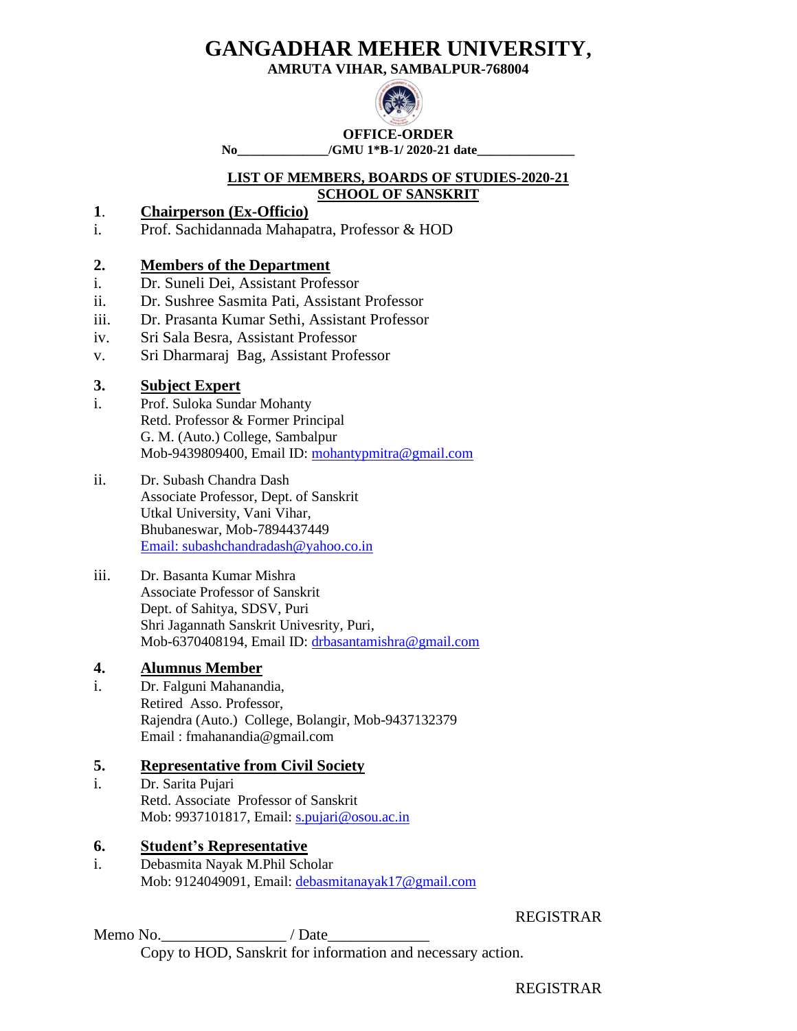**AMRUTA VIHAR, SAMBALPUR-768004**



**OFFICE-ORDER No\_\_\_\_\_\_\_\_\_\_\_\_\_\_/GMU 1\*B-1/ 2020-21 date\_\_\_\_\_\_\_\_\_\_\_\_\_\_\_**

### **LIST OF MEMBERS, BOARDS OF STUDIES-2020-21 SCHOOL OF SANSKRIT**

# **1**. **Chairperson (Ex-Officio)**

i. Prof. Sachidannada Mahapatra, Professor & HOD

# **2. Members of the Department**

- i. Dr. Suneli Dei, Assistant Professor
- ii. Dr. Sushree Sasmita Pati, Assistant Professor
- iii. Dr. Prasanta Kumar Sethi, Assistant Professor
- iv. Sri Sala Besra, Assistant Professor
- v. Sri Dharmaraj Bag, Assistant Professor

# **3. Subject Expert**

- i. Prof. Suloka Sundar Mohanty Retd. Professor & Former Principal G. M. (Auto.) College, Sambalpur Mob-9439809400, Email ID: [mohantypmitra@gmail.com](mailto:mohantypmitra@gmail.com)
- ii. Dr. Subash Chandra Dash Associate Professor, Dept. of Sanskrit Utkal University, Vani Vihar, Bhubaneswar, Mob-7894437449 [Email: subashchandradash@yahoo.co.in](mailto:Email:%20subashchandradash@yahoo.co.in)

#### iii. Dr. Basanta Kumar Mishra Associate Professor of Sanskrit Dept. of Sahitya, SDSV, Puri Shri Jagannath Sanskrit Univesrity, Puri, Mob-6370408194, Email ID: [drbasantamishra@gmail.com](mailto:drbasantamishra@gmail.com)

# **4. Alumnus Member**

i. Dr. Falguni Mahanandia, Retired Asso. Professor, Rajendra (Auto.) College, Bolangir, Mob-9437132379 Email : fmahanandia@gmail.com

# **5. Representative from Civil Society**

i. Dr. Sarita Pujari Retd. Associate Professor of Sanskrit Mob: 9937101817, Email: [s.pujari@osou.ac.in](mailto:s.pujari@osou.ac.in)

# **6. Student's Representative**

i. Debasmita Nayak M.Phil Scholar Mob: 9124049091, Email: [debasmitanayak17@gmail.com](mailto:debasmitanayak17@gmail.com)

REGISTRAR

Memo No.

Copy to HOD, Sanskrit for information and necessary action.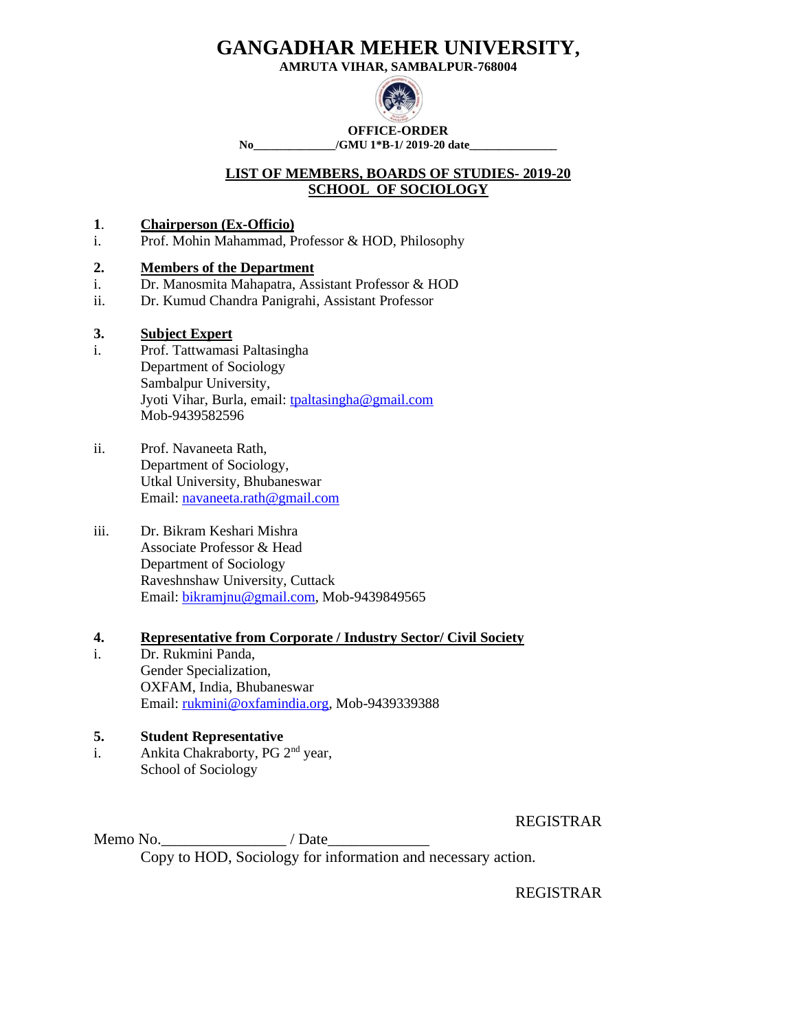**AMRUTA VIHAR, SAMBALPUR-768004**



**OFFICE-ORDER No\_\_\_\_\_\_\_\_\_\_\_\_\_\_/GMU 1\*B-1/ 2019-20 date\_\_\_\_\_\_\_\_\_\_\_\_\_\_\_**

### **LIST OF MEMBERS, BOARDS OF STUDIES- 2019-20 SCHOOL OF SOCIOLOGY**

### **1**. **Chairperson (Ex-Officio)**

i. Prof. Mohin Mahammad, Professor & HOD, Philosophy

### **2. Members of the Department**

- i. Dr. Manosmita Mahapatra, Assistant Professor & HOD
- ii. Dr. Kumud Chandra Panigrahi, Assistant Professor

### **3. Subject Expert**

- i. Prof. Tattwamasi Paltasingha Department of Sociology Sambalpur University, Jyoti Vihar, Burla, email: [tpaltasingha@gmail.com](mailto:tpaltasingha@gmail.com) Mob-9439582596
- ii. Prof. Navaneeta Rath, Department of Sociology, Utkal University, Bhubaneswar Email: [navaneeta.rath@gmail.com](mailto:navaneeta.rath@gmail.com)
- iii. Dr. Bikram Keshari Mishra Associate Professor & Head Department of Sociology Raveshnshaw University, Cuttack Email: [bikramjnu@gmail.com,](mailto:bikramjnu@gmail.com) Mob-9439849565

### **4. Representative from Corporate / Industry Sector/ Civil Society**

i. Dr. Rukmini Panda, Gender Specialization, OXFAM, India, Bhubaneswar Email: [rukmini@oxfamindia.org,](mailto:rukmini@oxfamindia.org) Mob-9439339388

### **5. Student Representative**

i. Ankita Chakraborty, PG 2<sup>nd</sup> year, School of Sociology

REGISTRAR

Memo No. Copy to HOD, Sociology for information and necessary action.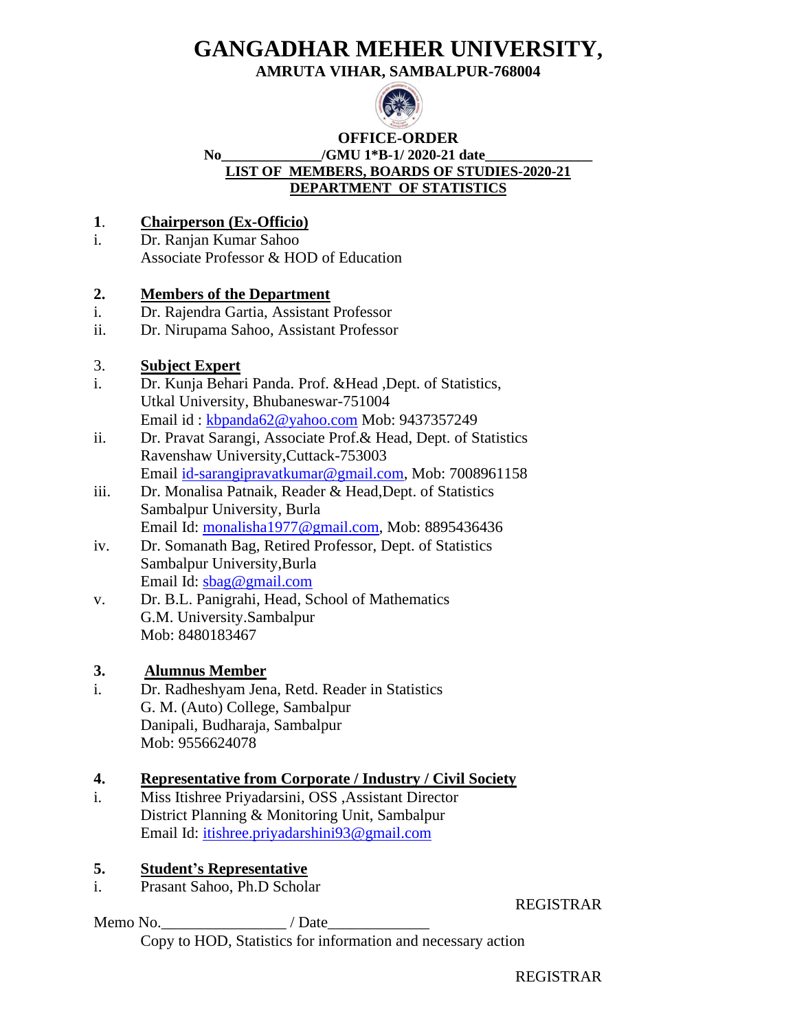**AMRUTA VIHAR, SAMBALPUR-768004**



### **OFFICE-ORDER** No /GMU 1<sup>\*</sup>B-1/ 2020-21 date **LIST OF MEMBERS, BOARDS OF STUDIES-2020-21 DEPARTMENT OF STATISTICS**

# **1**. **Chairperson (Ex-Officio)**

i. Dr. Ranjan Kumar Sahoo Associate Professor & HOD of Education

# **2. Members of the Department**

- i. Dr. Rajendra Gartia, Assistant Professor
- ii. Dr. Nirupama Sahoo, Assistant Professor

# 3. **Subject Expert**

- i. Dr. Kunja Behari Panda. Prof. &Head ,Dept. of Statistics, Utkal University, Bhubaneswar-751004 Email id : [kbpanda62@yahoo.com](mailto:kbpanda62@yahoo.com) Mob: 9437357249
- ii. Dr. Pravat Sarangi, Associate Prof.& Head, Dept. of Statistics Ravenshaw University,Cuttack-753003 Email [id-sarangipravatkumar@gmail.com,](mailto:id-sarangipravatkumar@gmail.com) Mob: 7008961158
- iii. Dr. Monalisa Patnaik, Reader & Head,Dept. of Statistics Sambalpur University, Burla Email Id: [monalisha1977@gmail.com,](mailto:monalisha1977@gmail.comn) Mob: 8895436436
- iv. Dr. Somanath Bag, Retired Professor, Dept. of Statistics Sambalpur University,Burla Email Id: [sbag@gmail.com](mailto:sbag@gmail.com)
- v. Dr. B.L. Panigrahi, Head, School of Mathematics G.M. University.Sambalpur Mob: 8480183467

# **3. Alumnus Member**

i. Dr. Radheshyam Jena, Retd. Reader in Statistics G. M. (Auto) College, Sambalpur Danipali, Budharaja, Sambalpur Mob: 9556624078

# **4. Representative from Corporate / Industry / Civil Society**

i. Miss Itishree Priyadarsini, OSS ,Assistant Director District Planning & Monitoring Unit, Sambalpur Email Id: [itishree.priyadarshini93@gmail.com](mailto:itishree.priyadarshini93@gmail.com)

# **5. Student's Representative**

i. Prasant Sahoo, Ph.D Scholar

Memo No.  $\blacksquare$  / Date

REGISTRAR

Copy to HOD, Statistics for information and necessary action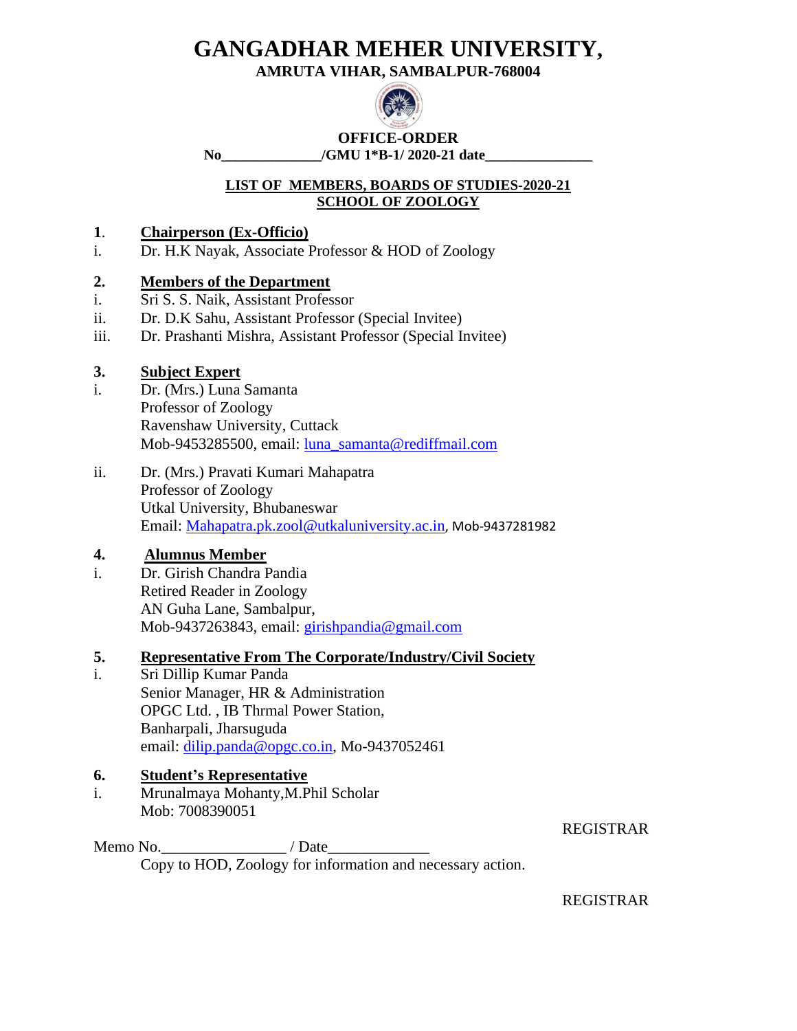**AMRUTA VIHAR, SAMBALPUR-768004**



**OFFICE-ORDER No\_\_\_\_\_\_\_\_\_\_\_\_\_\_/GMU 1\*B-1/ 2020-21 date\_\_\_\_\_\_\_\_\_\_\_\_\_\_\_**

# **LIST OF MEMBERS, BOARDS OF STUDIES-2020-21 SCHOOL OF ZOOLOGY**

# **1**. **Chairperson (Ex-Officio)**

i. Dr. H.K Nayak, Associate Professor & HOD of Zoology

# **2. Members of the Department**

- i. Sri S. S. Naik, Assistant Professor
- ii. Dr. D.K Sahu, Assistant Professor (Special Invitee)
- iii. Dr. Prashanti Mishra, Assistant Professor (Special Invitee)

# **3. Subject Expert**

- i. Dr. (Mrs.) Luna Samanta Professor of Zoology Ravenshaw University, Cuttack Mob-9453285500, email: [luna\\_samanta@rediffmail.com](mailto:luna_samanta@rediffmail.com)
- ii. Dr. (Mrs.) Pravati Kumari Mahapatra Professor of Zoology Utkal University, Bhubaneswar Email: [Mahapatra.pk.zool@utkaluniversity.ac.in](mailto:Mahapatra.pk.zool@utkaluniversity.ac.in), Mob-9437281982

# **4. Alumnus Member**

i. Dr. Girish Chandra Pandia Retired Reader in Zoology AN Guha Lane, Sambalpur, Mob-9437263843, email: [girishpandia@gmail.com](mailto:girishpandia@gmail.com)

# **5. Representative From The Corporate/Industry/Civil Society**

i. Sri Dillip Kumar Panda Senior Manager, HR & Administration OPGC Ltd. , IB Thrmal Power Station, Banharpali, Jharsuguda email: [dilip.panda@opgc.co.in,](mailto:dilip.panda@opgc.co.in) Mo-9437052461

# **6. Student's Representative**

i. Mrunalmaya Mohanty,M.Phil Scholar Mob: 7008390051

REGISTRAR

Memo No.\_\_\_\_\_\_\_\_\_\_\_\_\_\_\_\_\_\_\_\_\_\_\_\_\_/ Date Copy to HOD, Zoology for information and necessary action.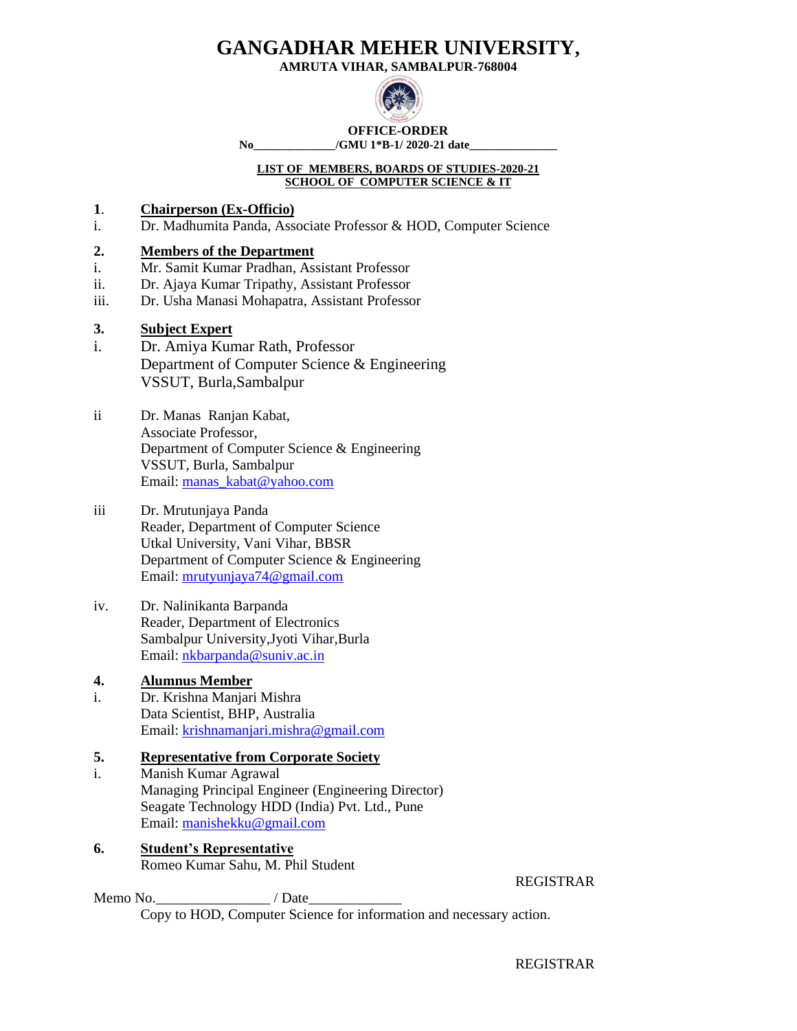**AMRUTA VIHAR, SAMBALPUR-768004**



**OFFICE-ORDER**

**No\_\_\_\_\_\_\_\_\_\_\_\_\_\_/GMU 1\*B-1/ 2020-21 date\_\_\_\_\_\_\_\_\_\_\_\_\_\_\_**

#### **LIST OF MEMBERS, BOARDS OF STUDIES-2020-21 SCHOOL OF COMPUTER SCIENCE & IT**

- **1**. **Chairperson (Ex-Officio)**
- i. Dr. Madhumita Panda, Associate Professor & HOD, Computer Science

### **2. Members of the Department**

- i. Mr. Samit Kumar Pradhan, Assistant Professor
- ii. Dr. Ajaya Kumar Tripathy, Assistant Professor
- iii. Dr. Usha Manasi Mohapatra, Assistant Professor

### **3. Subject Expert**

- i. Dr. Amiya Kumar Rath, Professor Department of Computer Science & Engineering VSSUT, Burla,Sambalpur
- ii Dr. Manas Ranjan Kabat, Associate Professor, Department of Computer Science & Engineering VSSUT, Burla, Sambalpur Email: [manas\\_kabat@yahoo.com](mailto:manas_kabat@yahoo.com)
- iii Dr. Mrutunjaya Panda Reader, Department of Computer Science Utkal University, Vani Vihar, BBSR Department of Computer Science & Engineering Email: [mrutyunjaya74@gmail.com](mailto:mrutyunjaya74@gmail.com)
- iv. Dr. Nalinikanta Barpanda Reader, Department of Electronics Sambalpur University,Jyoti Vihar,Burla Email: [nkbarpanda@suniv.ac.in](mailto:nkbarpanda@suniv.ac.in)

### **4. Alumnus Member**

i. Dr. Krishna Manjari Mishra Data Scientist, BHP, Australia Email: [krishnamanjari.mishra@gmail.com](mailto:krishnamanjari.mishra@gmail.com)

### **5. Representative from Corporate Society**

- i. Manish Kumar Agrawal Managing Principal Engineer (Engineering Director) Seagate Technology HDD (India) Pvt. Ltd., Pune Email: [manishekku@gmail.com](mailto:manishekku@gmail.com)
- **6. Student's Representative** Romeo Kumar Sahu, M. Phil Student

Memo No.\_\_\_\_\_\_\_\_\_\_\_\_\_\_\_\_ / Date\_\_\_\_\_\_\_\_\_\_\_\_\_

REGISTRAR

Copy to HOD, Computer Science for information and necessary action.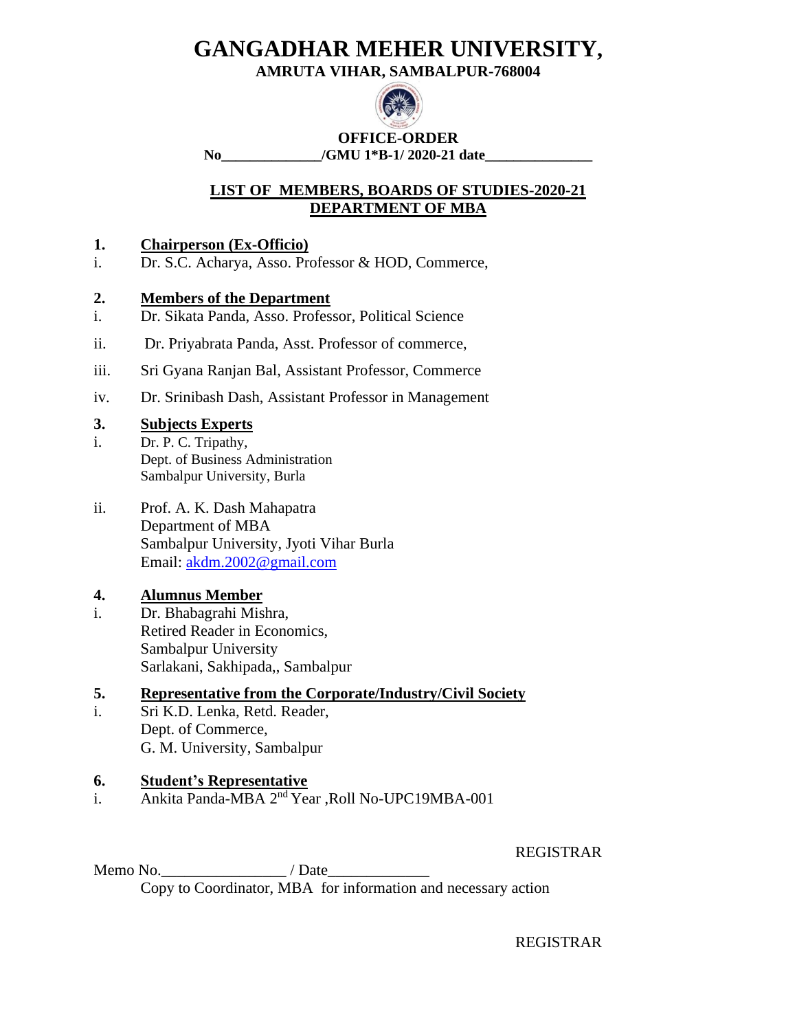**AMRUTA VIHAR, SAMBALPUR-768004**



**OFFICE-ORDER No\_\_\_\_\_\_\_\_\_\_\_\_\_\_/GMU 1\*B-1/ 2020-21 date\_\_\_\_\_\_\_\_\_\_\_\_\_\_\_**

# **LIST OF MEMBERS, BOARDS OF STUDIES-2020-21 DEPARTMENT OF MBA**

### **1. Chairperson (Ex-Officio)**

i. Dr. S.C. Acharya, Asso. Professor & HOD, Commerce,

### **2. Members of the Department**

- i. Dr. Sikata Panda, Asso. Professor, Political Science
- ii. Dr. Priyabrata Panda, Asst. Professor of commerce,
- iii. Sri Gyana Ranjan Bal, Assistant Professor, Commerce
- iv. Dr. Srinibash Dash, Assistant Professor in Management

### **3. Subjects Experts**

- i. Dr. P. C. Tripathy, Dept. of Business Administration Sambalpur University, Burla
- ii. Prof. A. K. Dash Mahapatra Department of MBA Sambalpur University, Jyoti Vihar Burla Email: [akdm.2002@gmail.com](mailto:akdm.2002@gmail.com)

# **4. Alumnus Member**

i. Dr. Bhabagrahi Mishra, Retired Reader in Economics, Sambalpur University Sarlakani, Sakhipada,, Sambalpur

# **5. Representative from the Corporate/Industry/Civil Society**

i. Sri K.D. Lenka, Retd. Reader, Dept. of Commerce, G. M. University, Sambalpur

# **6. Student's Representative**

i. Ankita Panda-MBA 2nd Year ,Roll No-UPC19MBA-001

REGISTRAR

Memo No.  $\blacksquare$  / Date Copy to Coordinator, MBA for information and necessary action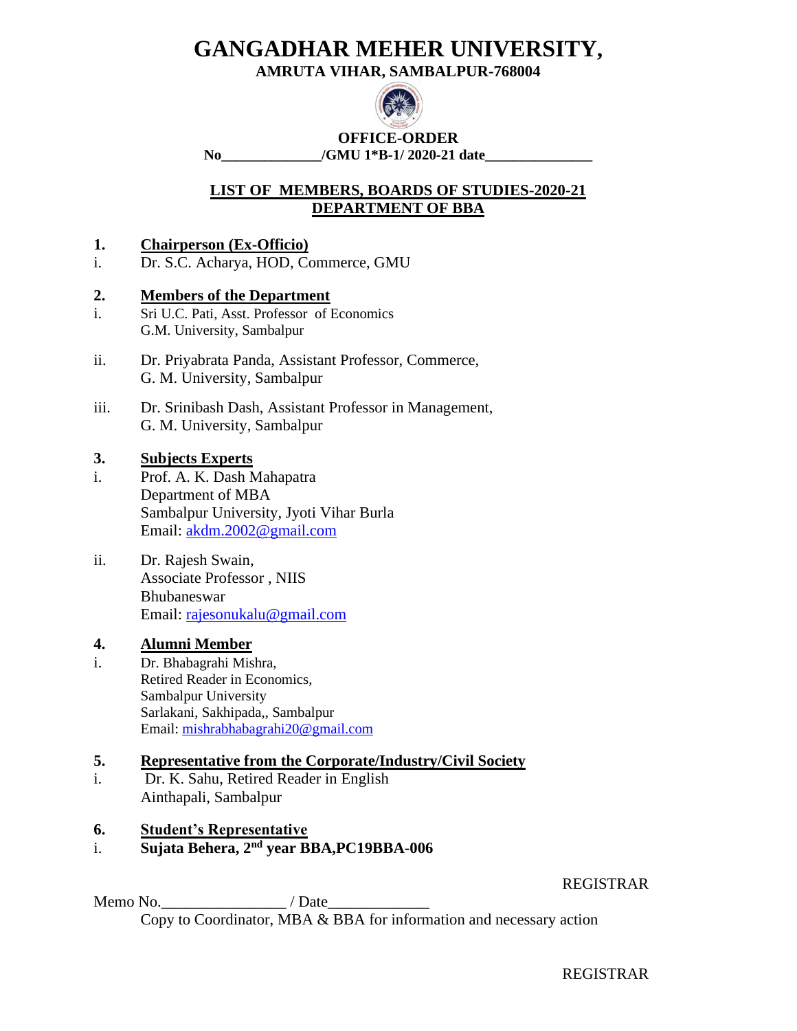**AMRUTA VIHAR, SAMBALPUR-768004**



**OFFICE-ORDER No\_\_\_\_\_\_\_\_\_\_\_\_\_\_/GMU 1\*B-1/ 2020-21 date\_\_\_\_\_\_\_\_\_\_\_\_\_\_\_**

# **LIST OF MEMBERS, BOARDS OF STUDIES-2020-21 DEPARTMENT OF BBA**

### **1. Chairperson (Ex-Officio)**

i. Dr. S.C. Acharya, HOD, Commerce, GMU

### **2. Members of the Department**

- i. Sri U.C. Pati, Asst. Professor of Economics G.M. University, Sambalpur
- ii. Dr. Priyabrata Panda, Assistant Professor, Commerce, G. M. University, Sambalpur
- iii. Dr. Srinibash Dash, Assistant Professor in Management, G. M. University, Sambalpur

### **3. Subjects Experts**

- i. Prof. A. K. Dash Mahapatra Department of MBA Sambalpur University, Jyoti Vihar Burla Email: [akdm.2002@gmail.com](mailto:akdm.2002@gmail.com)
- ii. Dr. Rajesh Swain, Associate Professor , NIIS Bhubaneswar Email: [rajesonukalu@gmail.com](mailto:rajesonukalu@gmail.com)

# **4. Alumni Member**

i. Dr. Bhabagrahi Mishra, Retired Reader in Economics, Sambalpur University Sarlakani, Sakhipada,, Sambalpur Email: [mishrabhabagrahi20@gmail.com](mailto:mishrabhabagrahi20@gmail.com)

### **5. Representative from the Corporate/Industry/Civil Society**

i. Dr. K. Sahu, Retired Reader in English Ainthapali, Sambalpur

### **6. Student's Representative**

i. **Sujata Behera, 2nd year BBA,PC19BBA-006**

REGISTRAR

Memo No.  $\blacksquare$  / Date Copy to Coordinator, MBA & BBA for information and necessary action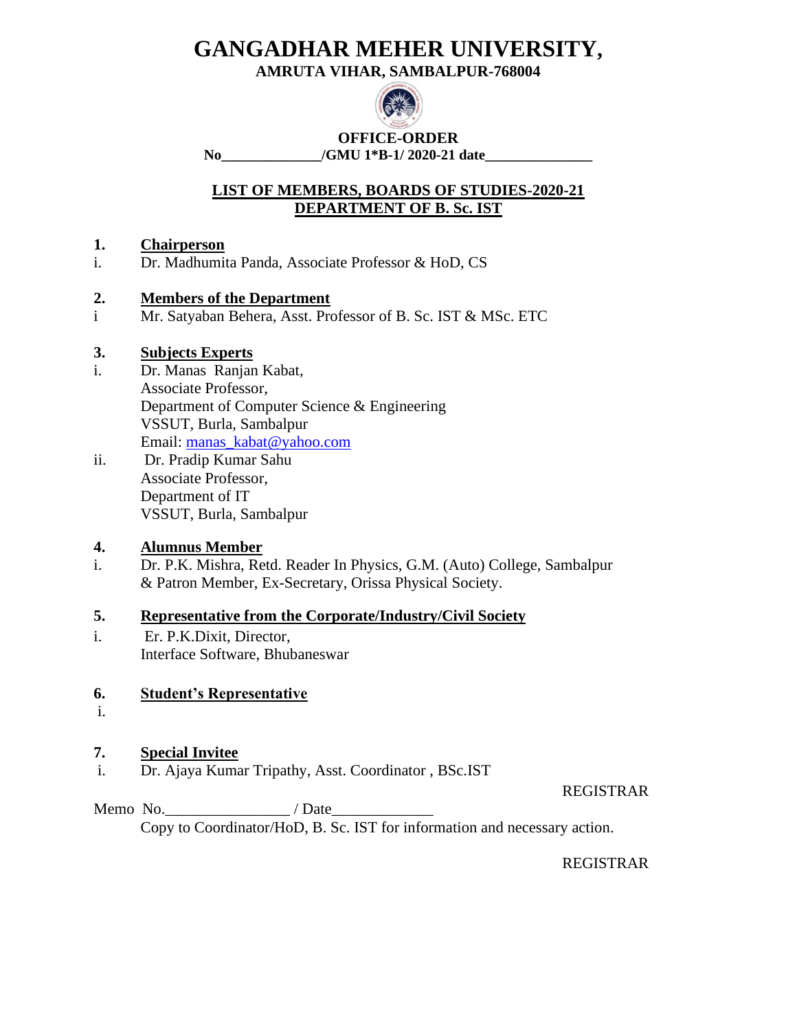**AMRUTA VIHAR, SAMBALPUR-768004**



**OFFICE-ORDER No\_\_\_\_\_\_\_\_\_\_\_\_\_\_/GMU 1\*B-1/ 2020-21 date\_\_\_\_\_\_\_\_\_\_\_\_\_\_\_**

# **LIST OF MEMBERS, BOARDS OF STUDIES-2020-21 DEPARTMENT OF B. Sc. IST**

# **1. Chairperson**

i. Dr. Madhumita Panda, Associate Professor & HoD, CS

### **2. Members of the Department**

i Mr. Satyaban Behera, Asst. Professor of B. Sc. IST & MSc. ETC

### **3. Subjects Experts**

- i. Dr. Manas Ranjan Kabat, Associate Professor, Department of Computer Science & Engineering VSSUT, Burla, Sambalpur Email: [manas\\_kabat@yahoo.com](mailto:manas_kabat@yahoo.com)
- ii. Dr. Pradip Kumar Sahu Associate Professor, Department of IT VSSUT, Burla, Sambalpur

# **4. Alumnus Member**

i. Dr. P.K. Mishra, Retd. Reader In Physics, G.M. (Auto) College, Sambalpur & Patron Member, Ex-Secretary, Orissa Physical Society.

### **5. Representative from the Corporate/Industry/Civil Society**

i. Er. P.K.Dixit, Director, Interface Software, Bhubaneswar

# **6. Student's Representative**

i.

# **7. Special Invitee**

i. Dr. Ajaya Kumar Tripathy, Asst. Coordinator , BSc.IST

REGISTRAR

Memo No.\_\_\_\_\_\_\_\_\_\_\_\_\_\_\_\_ / Date\_\_\_\_\_\_\_\_\_\_\_\_\_ Copy to Coordinator/HoD, B. Sc. IST for information and necessary action.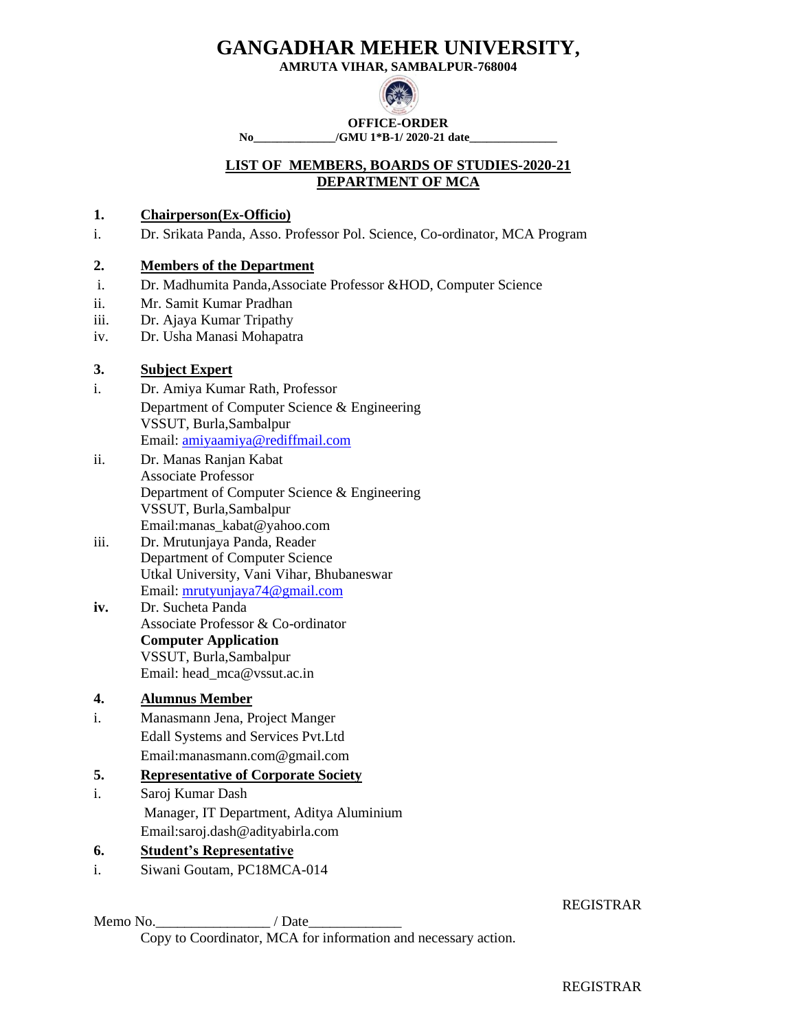**AMRUTA VIHAR, SAMBALPUR-768004**



**No\_\_\_\_\_\_\_\_\_\_\_\_\_\_/GMU 1\*B-1/ 2020-21 date\_\_\_\_\_\_\_\_\_\_\_\_\_\_\_**

# **LIST OF MEMBERS, BOARDS OF STUDIES-2020-21 DEPARTMENT OF MCA**

### **1. Chairperson(Ex-Officio)**

i. Dr. Srikata Panda, Asso. Professor Pol. Science, Co-ordinator, MCA Program

### **2. Members of the Department**

- i. Dr. Madhumita Panda,Associate Professor &HOD, Computer Science
- ii. Mr. Samit Kumar Pradhan
- iii. Dr. Ajaya Kumar Tripathy
- iv. Dr. Usha Manasi Mohapatra

### **3. Subject Expert**

- i. Dr. Amiya Kumar Rath, Professor Department of Computer Science & Engineering VSSUT, Burla,Sambalpur Email: [amiyaamiya@rediffmail.com](mailto:amiyaamiya@rediffmail.com)
- ii. Dr. Manas Ranjan Kabat Associate Professor Department of Computer Science & Engineering VSSUT, Burla,Sambalpur Email:manas\_kabat@yahoo.com
- iii. Dr. Mrutunjaya Panda, Reader Department of Computer Science Utkal University, Vani Vihar, Bhubaneswar Email: [mrutyunjaya74@gmail.com](mailto:mrutyunjaya74@gmail.com)
- **iv.** Dr. Sucheta Panda Associate Professor & Co-ordinator **Computer Application** VSSUT, Burla,Sambalpur Email: head\_mca@vssut.ac.in

### **4. Alumnus Member**

i. Manasmann Jena, Project Manger Edall Systems and Services Pvt.Ltd Email:manasmann.com@gmail.com

### **5. Representative of Corporate Society**

i. Saroj Kumar Dash Manager, IT Department, Aditya Aluminium Email:saroj.dash@adityabirla.com

### **6. Student's Representative**

i. Siwani Goutam, PC18MCA-014

Memo No. 2008 / Date Copy to Coordinator, MCA for information and necessary action.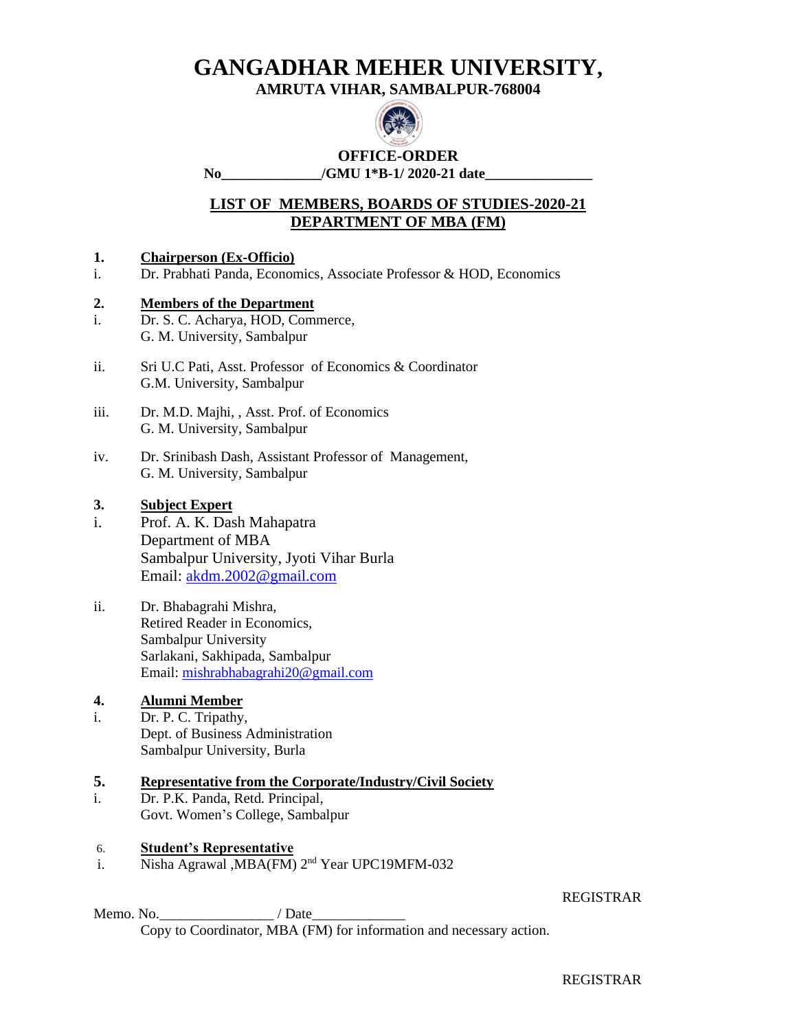# **AMRUTA VIHAR, SAMBALPUR-768004**



# **OFFICE-ORDER**

### No /GMU 1\*B-1/ 2020-21 date

# **LIST OF MEMBERS, BOARDS OF STUDIES-2020-21 DEPARTMENT OF MBA (FM)**

### **1. Chairperson (Ex-Officio)**

i. Dr. Prabhati Panda, Economics, Associate Professor & HOD, Economics

### **2. Members of the Department**

- i. Dr. S. C. Acharya, HOD, Commerce, G. M. University, Sambalpur
- ii. Sri U.C Pati, Asst. Professor of Economics & Coordinator G.M. University, Sambalpur
- iii. Dr. M.D. Majhi, , Asst. Prof. of Economics G. M. University, Sambalpur
- iv. Dr. Srinibash Dash, Assistant Professor of Management, G. M. University, Sambalpur

### **3. Subject Expert**

- i. Prof. A. K. Dash Mahapatra Department of MBA Sambalpur University, Jyoti Vihar Burla Email: [akdm.2002@gmail.com](mailto:akdm.2002@gmail.com)
- ii. Dr. Bhabagrahi Mishra, Retired Reader in Economics, Sambalpur University Sarlakani, Sakhipada, Sambalpur Email: [mishrabhabagrahi20@gmail.com](mailto:mishrabhabagrahi20@gmail.com)

### **4. Alumni Member**

i. Dr. P. C. Tripathy, Dept. of Business Administration Sambalpur University, Burla

#### **5. Representative from the Corporate/Industry/Civil Society**

i. Dr. P.K. Panda, Retd. Principal, Govt. Women's College, Sambalpur

### 6. **Student's Representative**

i. Nisha Agrawal ,MBA(FM) 2<sup>nd</sup> Year UPC19MFM-032

#### REGISTRAR

Memo. No.\_\_\_\_\_\_\_\_\_\_\_\_\_\_\_\_ / Date\_\_\_\_\_\_\_\_\_\_\_\_\_ Copy to Coordinator, MBA (FM) for information and necessary action.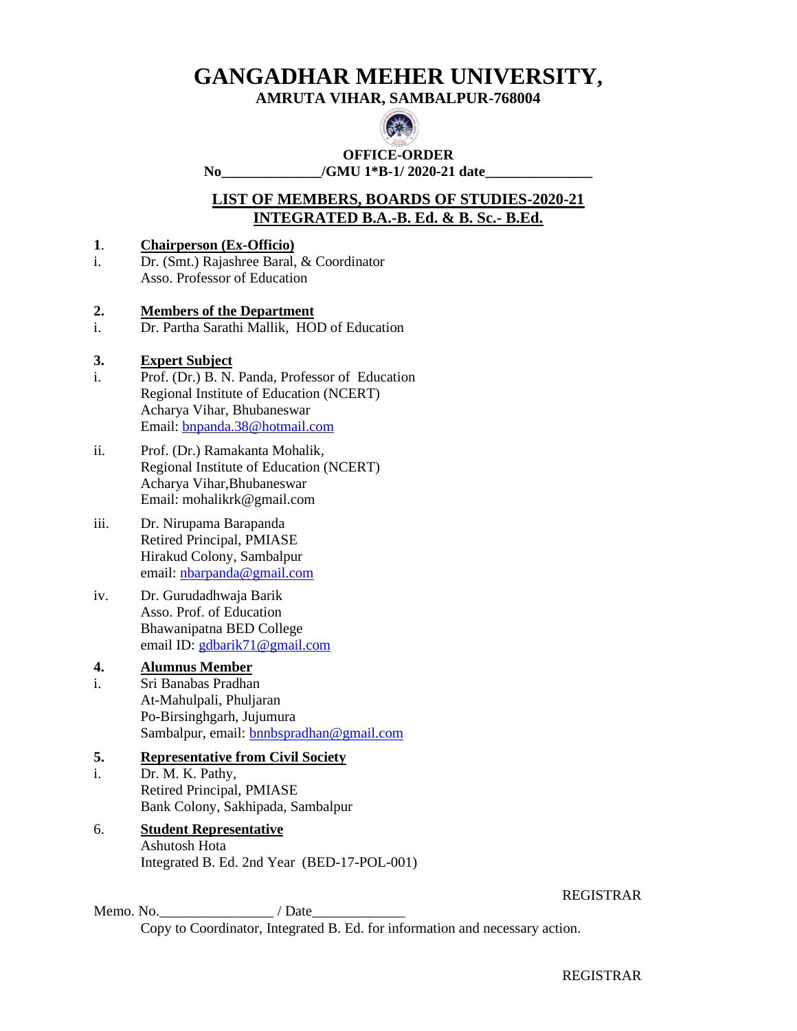### **AMRUTA VIHAR, SAMBALPUR-768004**



**OFFICE-ORDER** No /GMU 1<sup>\*</sup>B-1/ 2020-21 date

# **LIST OF MEMBERS, BOARDS OF STUDIES-2020-21 INTEGRATED B.A.-B. Ed. & B. Sc.- B.Ed.**

#### **1**. **Chairperson (Ex-Officio)**

i. Dr. (Smt.) Rajashree Baral, & Coordinator Asso. Professor of Education

### **2. Members of the Department**

i. Dr. Partha Sarathi Mallik, HOD of Education

### **3. Expert Subject**

- i. Prof. (Dr.) B. N. Panda, Professor of Education Regional Institute of Education (NCERT) Acharya Vihar, Bhubaneswar Email: [bnpanda.38@hotmail.com](mailto:bnpanda.38@hotmail.com)
- ii. Prof. (Dr.) Ramakanta Mohalik, Regional Institute of Education (NCERT) Acharya Vihar,Bhubaneswar Email: mohalikrk@gmail.com
- iii. Dr. Nirupama Barapanda Retired Principal, PMIASE Hirakud Colony, Sambalpur email: [nbarpanda@gmail.com](mailto:nbarpanda@gmail.com)
- iv. Dr. Gurudadhwaja Barik Asso. Prof. of Education Bhawanipatna BED College email ID: [gdbarik71@gmail.com](mailto:gdbarik71@gmail.com)

### **4. Alumnus Member**

i. Sri Banabas Pradhan At-Mahulpali, Phuljaran Po-Birsinghgarh, Jujumura Sambalpur, email: **bnnbspradhan@gmail.com** 

### **5. Representative from Civil Society**

i. Dr. M. K. Pathy, Retired Principal, PMIASE Bank Colony, Sakhipada, Sambalpur

### 6. **Student Representative** Ashutosh Hota Integrated B. Ed. 2nd Year (BED-17-POL-001)

#### REGISTRAR

Memo. No.  $\blacksquare$  / Date Copy to Coordinator, Integrated B. Ed. for information and necessary action.